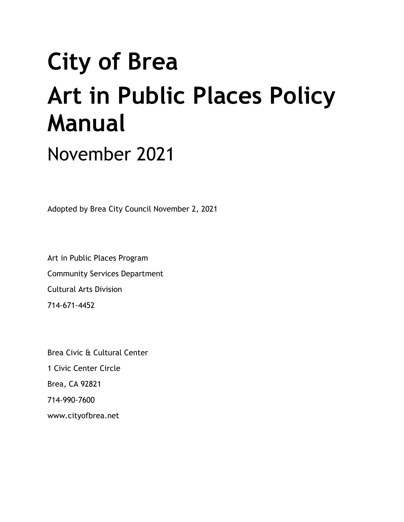# **City of Brea Art in Public Places Policy Manual**

November 2021

Adopted by Brea City Council November 2, 2021

Art in Public Places Program Community Services Department Cultural Arts Division 714-671-4452

Brea Civic & Cultural Center 1 Civic Center Circle Brea, CA 92821 714-990-7600 [www.cityofbrea.net](http://www.cityofbrea.net/)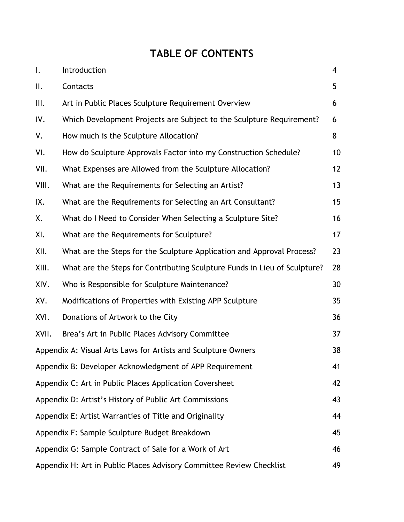# **TABLE OF CONTENTS**

| $\mathsf{I}$ .                                                             | Introduction                                                              | 4  |  |  |  |
|----------------------------------------------------------------------------|---------------------------------------------------------------------------|----|--|--|--|
| Ⅱ.                                                                         | Contacts                                                                  | 5  |  |  |  |
| III.                                                                       | Art in Public Places Sculpture Requirement Overview                       | 6  |  |  |  |
| IV.                                                                        | Which Development Projects are Subject to the Sculpture Requirement?      | 6  |  |  |  |
| ٧.                                                                         | How much is the Sculpture Allocation?                                     | 8  |  |  |  |
| VI.                                                                        | How do Sculpture Approvals Factor into my Construction Schedule?          | 10 |  |  |  |
| VII.                                                                       | What Expenses are Allowed from the Sculpture Allocation?                  | 12 |  |  |  |
| VIII.                                                                      | What are the Requirements for Selecting an Artist?                        | 13 |  |  |  |
| IX.                                                                        | What are the Requirements for Selecting an Art Consultant?                | 15 |  |  |  |
| Χ.                                                                         | What do I Need to Consider When Selecting a Sculpture Site?               | 16 |  |  |  |
| XI.                                                                        | What are the Requirements for Sculpture?                                  | 17 |  |  |  |
| XII.                                                                       | What are the Steps for the Sculpture Application and Approval Process?    | 23 |  |  |  |
| XIII.                                                                      | What are the Steps for Contributing Sculpture Funds in Lieu of Sculpture? | 28 |  |  |  |
| XIV.                                                                       | Who is Responsible for Sculpture Maintenance?                             | 30 |  |  |  |
| XV.                                                                        | Modifications of Properties with Existing APP Sculpture                   | 35 |  |  |  |
| XVI.                                                                       | Donations of Artwork to the City                                          | 36 |  |  |  |
| XVII.                                                                      | Brea's Art in Public Places Advisory Committee                            | 37 |  |  |  |
| 38<br>Appendix A: Visual Arts Laws for Artists and Sculpture Owners        |                                                                           |    |  |  |  |
| Appendix B: Developer Acknowledgment of APP Requirement<br>41              |                                                                           |    |  |  |  |
| Appendix C: Art in Public Places Application Coversheet<br>42              |                                                                           |    |  |  |  |
| Appendix D: Artist's History of Public Art Commissions<br>43               |                                                                           |    |  |  |  |
| Appendix E: Artist Warranties of Title and Originality<br>44               |                                                                           |    |  |  |  |
| Appendix F: Sample Sculpture Budget Breakdown<br>45                        |                                                                           |    |  |  |  |
| Appendix G: Sample Contract of Sale for a Work of Art<br>46                |                                                                           |    |  |  |  |
| Appendix H: Art in Public Places Advisory Committee Review Checklist<br>49 |                                                                           |    |  |  |  |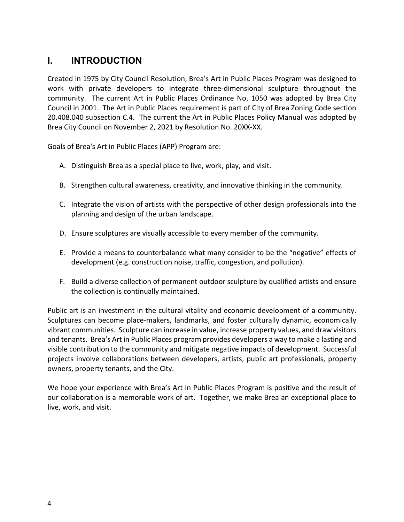# **I. INTRODUCTION**

Created in 1975 by City Council Resolution, Brea's Art in Public Places Program was designed to work with private developers to integrate three-dimensional sculpture throughout the community. The current Art in Public Places Ordinance No. 1050 was adopted by Brea City Council in 2001. The Art in Public Places requirement is part of City of Brea Zoning Code section 20.408.040 subsection C.4. The current the Art in Public Places Policy Manual was adopted by Brea City Council on November 2, 2021 by Resolution No. 20XX-XX.

Goals of Brea's Art in Public Places (APP) Program are:

- A. Distinguish Brea as a special place to live, work, play, and visit.
- B. Strengthen cultural awareness, creativity, and innovative thinking in the community.
- C. Integrate the vision of artists with the perspective of other design professionals into the planning and design of the urban landscape.
- D. Ensure sculptures are visually accessible to every member of the community.
- E. Provide a means to counterbalance what many consider to be the "negative" effects of development (e.g. construction noise, traffic, congestion, and pollution).
- F. Build a diverse collection of permanent outdoor sculpture by qualified artists and ensure the collection is continually maintained.

Public art is an investment in the cultural vitality and economic development of a community. Sculptures can become place-makers, landmarks, and foster culturally dynamic, economically vibrant communities. Sculpture can increase in value, increase property values, and draw visitors and tenants. Brea's Art in Public Places program provides developers a way to make a lasting and visible contribution to the community and mitigate negative impacts of development. Successful projects involve collaborations between developers, artists, public art professionals, property owners, property tenants, and the City.

We hope your experience with Brea's Art in Public Places Program is positive and the result of our collaboration is a memorable work of art. Together, we make Brea an exceptional place to live, work, and visit.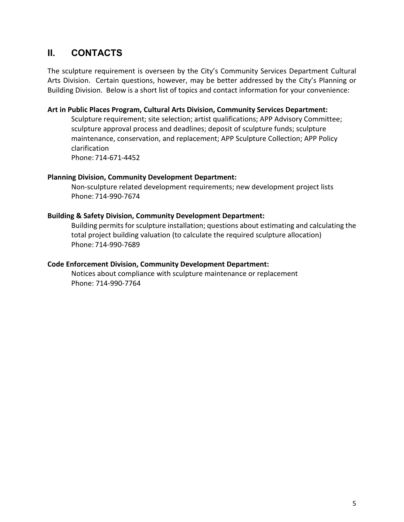# **II. CONTACTS**

The sculpture requirement is overseen by the City's Community Services Department Cultural Arts Division. Certain questions, however, may be better addressed by the City's Planning or Building Division. Below is a short list of topics and contact information for your convenience:

#### **Art in Public Places Program, Cultural Arts Division, Community Services Department:**

Sculpture requirement; site selection; artist qualifications; APP Advisory Committee; sculpture approval process and deadlines; deposit of sculpture funds; sculpture maintenance, conservation, and replacement; APP Sculpture Collection; APP Policy clarification

Phone: 714-671-4452

#### **Planning Division, Community Development Department:**

Non-sculpture related development requirements; new development project lists Phone: 714-990-7674

#### **Building & Safety Division, Community Development Department:**

Building permits for sculpture installation; questions about estimating and calculating the total project building valuation (to calculate the required sculpture allocation) Phone: 714-990-7689

#### **Code Enforcement Division, Community Development Department:**

Notices about compliance with sculpture maintenance or replacement Phone: 714-990-7764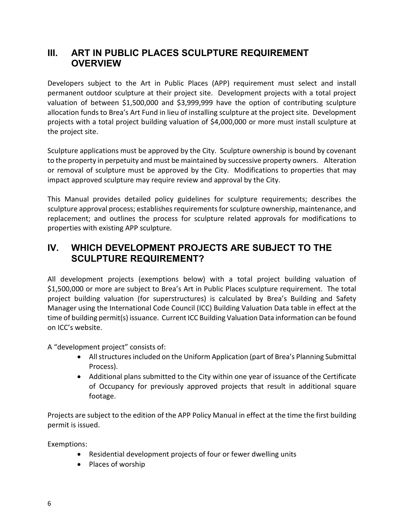# **III. ART IN PUBLIC PLACES SCULPTURE REQUIREMENT OVERVIEW**

Developers subject to the Art in Public Places (APP) requirement must select and install permanent outdoor sculpture at their project site. Development projects with a total project valuation of between \$1,500,000 and \$3,999,999 have the option of contributing sculpture allocation funds to Brea's Art Fund in lieu of installing sculpture at the project site. Development projects with a total project building valuation of \$4,000,000 or more must install sculpture at the project site.

Sculpture applications must be approved by the City. Sculpture ownership is bound by covenant to the property in perpetuity and must be maintained by successive property owners. Alteration or removal of sculpture must be approved by the City. Modifications to properties that may impact approved sculpture may require review and approval by the City.

This Manual provides detailed policy guidelines for sculpture requirements; describes the sculpture approval process; establishes requirements for sculpture ownership, maintenance, and replacement; and outlines the process for sculpture related approvals for modifications to properties with existing APP sculpture.

# **IV. WHICH DEVELOPMENT PROJECTS ARE SUBJECT TO THE SCULPTURE REQUIREMENT?**

All development projects (exemptions below) with a total project building valuation of \$1,500,000 or more are subject to Brea's Art in Public Places sculpture requirement. The total project building valuation (for superstructures) is calculated by Brea's Building and Safety Manager using the International Code Council (ICC) Building Valuation Data table in effect at the time of building permit(s) issuance. Current ICC Building Valuation Data information can be found on ICC's website.

A "development project" consists of:

- All structures included on the Uniform Application (part of Brea's Planning Submittal Process).
- Additional plans submitted to the City within one year of issuance of the Certificate of Occupancy for previously approved projects that result in additional square footage.

Projects are subject to the edition of the APP Policy Manual in effect at the time the first building permit is issued.

Exemptions:

- Residential development projects of four or fewer dwelling units
- Places of worship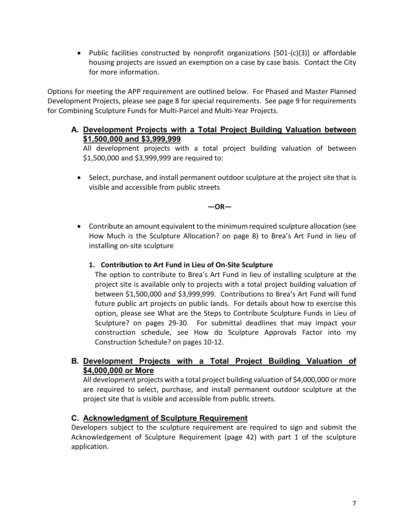• Public facilities constructed by nonprofit organizations [501-(c)(3)] or affordable housing projects are issued an exemption on a case by case basis. Contact the City for more information.

Options for meeting the APP requirement are outlined below. For Phased and Master Planned Development Projects, please see page 8 for special requirements. See page 9 for requirements for Combining Sculpture Funds for Multi-Parcel and Multi-Year Projects.

**A. Development Projects with a Total Project Building Valuation between \$1,500,000 and \$3,999,999**

All development projects with a total project building valuation of between \$1,500,000 and \$3,999,999 are required to:

• Select, purchase, and install permanent outdoor sculpture at the project site that is visible and accessible from public streets

**—OR—**

- Contribute an amount equivalent to the minimum required sculpture allocation (see How Much is the Sculpture Allocation? on page 8) to Brea's Art Fund in lieu of installing on-site sculpture
	- **1. Contribution to Art Fund in Lieu of On-Site Sculpture**

The option to contribute to Brea's Art Fund in lieu of installing sculpture at the project site is available only to projects with a total project building valuation of between \$1,500,000 and \$3,999,999. Contributions to Brea's Art Fund will fund future public art projects on public lands. For details about how to exercise this option, please see What are the Steps to Contribute Sculpture Funds in Lieu of Sculpture? on pages 29-30. For submittal deadlines that may impact your construction schedule, see How do Sculpture Approvals Factor into my Construction Schedule? on pages 10-12.

**B. Development Projects with a Total Project Building Valuation of \$4,000,000 or More**

All development projects with a total project building valuation of \$4,000,000 or more are required to select, purchase, and install permanent outdoor sculpture at the project site that is visible and accessible from public streets.

#### **C. Acknowledgment of Sculpture Requirement**

Developers subject to the sculpture requirement are required to sign and submit the Acknowledgement of Sculpture Requirement (page 42) with part 1 of the sculpture application.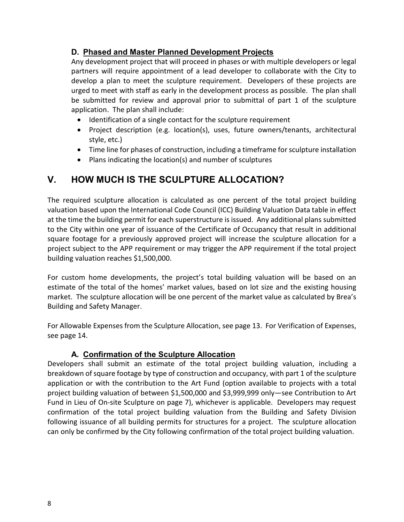## **D. Phased and Master Planned Development Projects**

Any development project that will proceed in phases or with multiple developers or legal partners will require appointment of a lead developer to collaborate with the City to develop a plan to meet the sculpture requirement. Developers of these projects are urged to meet with staff as early in the development process as possible. The plan shall be submitted for review and approval prior to submittal of part 1 of the sculpture application. The plan shall include:

- Identification of a single contact for the sculpture requirement
- Project description (e.g. location(s), uses, future owners/tenants, architectural style, etc.)
- Time line for phases of construction, including a timeframe for sculpture installation
- Plans indicating the location(s) and number of sculptures

# **V. HOW MUCH IS THE SCULPTURE ALLOCATION?**

The required sculpture allocation is calculated as one percent of the total project building valuation based upon the International Code Council (ICC) Building Valuation Data table in effect at the time the building permit for each superstructure is issued. Any additional plans submitted to the City within one year of issuance of the Certificate of Occupancy that result in additional square footage for a previously approved project will increase the sculpture allocation for a project subject to the APP requirement or may trigger the APP requirement if the total project building valuation reaches \$1,500,000.

For custom home developments, the project's total building valuation will be based on an estimate of the total of the homes' market values, based on lot size and the existing housing market. The sculpture allocation will be one percent of the market value as calculated by Brea's Building and Safety Manager.

For Allowable Expenses from the Sculpture Allocation, see page 13. For Verification of Expenses, see page 14.

#### **A. Confirmation of the Sculpture Allocation**

Developers shall submit an estimate of the total project building valuation, including a breakdown of square footage by type of construction and occupancy, with part 1 of the sculpture application or with the contribution to the Art Fund (option available to projects with a total project building valuation of between \$1,500,000 and \$3,999,999 only—see Contribution to Art Fund in Lieu of On-site Sculpture on page 7), whichever is applicable. Developers may request confirmation of the total project building valuation from the Building and Safety Division following issuance of all building permits for structures for a project. The sculpture allocation can only be confirmed by the City following confirmation of the total project building valuation.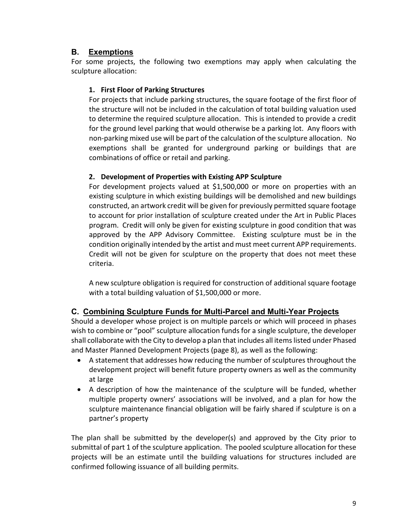## **B. Exemptions**

For some projects, the following two exemptions may apply when calculating the sculpture allocation:

#### **1. First Floor of Parking Structures**

For projects that include parking structures, the square footage of the first floor of the structure will not be included in the calculation of total building valuation used to determine the required sculpture allocation. This is intended to provide a credit for the ground level parking that would otherwise be a parking lot. Any floors with non-parking mixed use will be part of the calculation of the sculpture allocation. No exemptions shall be granted for underground parking or buildings that are combinations of office or retail and parking.

#### **2. Development of Properties with Existing APP Sculpture**

For development projects valued at \$1,500,000 or more on properties with an existing sculpture in which existing buildings will be demolished and new buildings constructed, an artwork credit will be given for previously permitted square footage to account for prior installation of sculpture created under the Art in Public Places program. Credit will only be given for existing sculpture in good condition that was approved by the APP Advisory Committee. Existing sculpture must be in the condition originally intended by the artist and must meet current APP requirements. Credit will not be given for sculpture on the property that does not meet these criteria.

A new sculpture obligation is required for construction of additional square footage with a total building valuation of \$1,500,000 or more.

# **C. Combining Sculpture Funds for Multi-Parcel and Multi-Year Projects**

Should a developer whose project is on multiple parcels or which will proceed in phases wish to combine or "pool" sculpture allocation funds for a single sculpture, the developer shall collaborate with the City to develop a plan that includes all items listed under Phased and Master Planned Development Projects (page 8), as well as the following:

- A statement that addresses how reducing the number of sculptures throughout the development project will benefit future property owners as well as the community at large
- A description of how the maintenance of the sculpture will be funded, whether multiple property owners' associations will be involved, and a plan for how the sculpture maintenance financial obligation will be fairly shared if sculpture is on a partner's property

The plan shall be submitted by the developer(s) and approved by the City prior to submittal of part 1 of the sculpture application. The pooled sculpture allocation for these projects will be an estimate until the building valuations for structures included are confirmed following issuance of all building permits.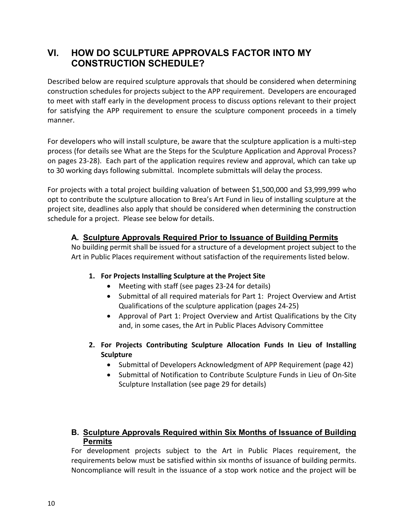# **VI. HOW DO SCULPTURE APPROVALS FACTOR INTO MY CONSTRUCTION SCHEDULE?**

Described below are required sculpture approvals that should be considered when determining construction schedules for projects subject to the APP requirement. Developers are encouraged to meet with staff early in the development process to discuss options relevant to their project for satisfying the APP requirement to ensure the sculpture component proceeds in a timely manner.

For developers who will install sculpture, be aware that the sculpture application is a multi-step process (for details see What are the Steps for the Sculpture Application and Approval Process? on pages 23-28). Each part of the application requires review and approval, which can take up to 30 working days following submittal. Incomplete submittals will delay the process.

For projects with a total project building valuation of between \$1,500,000 and \$3,999,999 who opt to contribute the sculpture allocation to Brea's Art Fund in lieu of installing sculpture at the project site, deadlines also apply that should be considered when determining the construction schedule for a project. Please see below for details.

#### **A. Sculpture Approvals Required Prior to Issuance of Building Permits**

No building permit shall be issued for a structure of a development project subject to the Art in Public Places requirement without satisfaction of the requirements listed below.

#### **1. For Projects Installing Sculpture at the Project Site**

- Meeting with staff (see pages 23-24 for details)
- Submittal of all required materials for Part 1: Project Overview and Artist Qualifications of the sculpture application (pages 24-25)
- Approval of Part 1: Project Overview and Artist Qualifications by the City and, in some cases, the Art in Public Places Advisory Committee
- **2. For Projects Contributing Sculpture Allocation Funds In Lieu of Installing Sculpture** 
	- Submittal of Developers Acknowledgment of APP Requirement (page 42)
	- Submittal of Notification to Contribute Sculpture Funds in Lieu of On-Site Sculpture Installation (see page 29 for details)

## **B. Sculpture Approvals Required within Six Months of Issuance of Building Permits**

For development projects subject to the Art in Public Places requirement, the requirements below must be satisfied within six months of issuance of building permits. Noncompliance will result in the issuance of a stop work notice and the project will be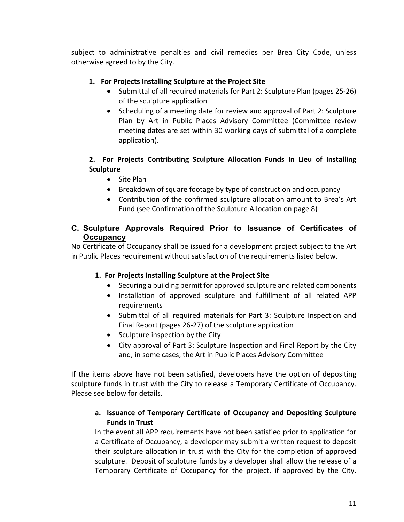subject to administrative penalties and civil remedies per Brea City Code, unless otherwise agreed to by the City.

#### **1. For Projects Installing Sculpture at the Project Site**

- Submittal of all required materials for Part 2: Sculpture Plan (pages 25-26) of the sculpture application
- Scheduling of a meeting date for review and approval of Part 2: Sculpture Plan by Art in Public Places Advisory Committee (Committee review meeting dates are set within 30 working days of submittal of a complete application).

#### **2. For Projects Contributing Sculpture Allocation Funds In Lieu of Installing Sculpture**

- Site Plan
- Breakdown of square footage by type of construction and occupancy
- Contribution of the confirmed sculpture allocation amount to Brea's Art Fund (see Confirmation of the Sculpture Allocation on page 8)

#### **C. Sculpture Approvals Required Prior to Issuance of Certificates of Occupancy**

No Certificate of Occupancy shall be issued for a development project subject to the Art in Public Places requirement without satisfaction of the requirements listed below.

#### **1. For Projects Installing Sculpture at the Project Site**

- Securing a building permit for approved sculpture and related components
- Installation of approved sculpture and fulfillment of all related APP requirements
- Submittal of all required materials for Part 3: Sculpture Inspection and Final Report (pages 26-27) of the sculpture application
- Sculpture inspection by the City
- City approval of Part 3: Sculpture Inspection and Final Report by the City and, in some cases, the Art in Public Places Advisory Committee

If the items above have not been satisfied, developers have the option of depositing sculpture funds in trust with the City to release a Temporary Certificate of Occupancy. Please see below for details.

#### **a. Issuance of Temporary Certificate of Occupancy and Depositing Sculpture Funds in Trust**

In the event all APP requirements have not been satisfied prior to application for a Certificate of Occupancy, a developer may submit a written request to deposit their sculpture allocation in trust with the City for the completion of approved sculpture. Deposit of sculpture funds by a developer shall allow the release of a Temporary Certificate of Occupancy for the project, if approved by the City.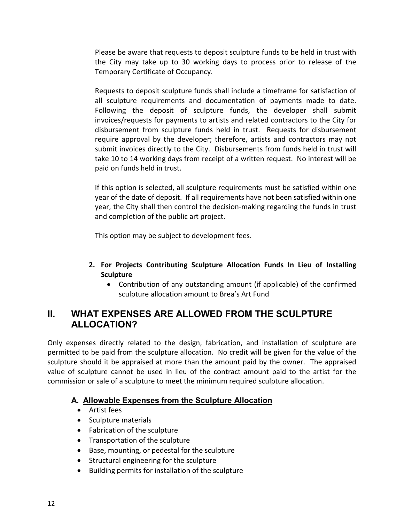Please be aware that requests to deposit sculpture funds to be held in trust with the City may take up to 30 working days to process prior to release of the Temporary Certificate of Occupancy.

Requests to deposit sculpture funds shall include a timeframe for satisfaction of all sculpture requirements and documentation of payments made to date. Following the deposit of sculpture funds, the developer shall submit invoices/requests for payments to artists and related contractors to the City for disbursement from sculpture funds held in trust. Requests for disbursement require approval by the developer; therefore, artists and contractors may not submit invoices directly to the City. Disbursements from funds held in trust will take 10 to 14 working days from receipt of a written request. No interest will be paid on funds held in trust.

If this option is selected, all sculpture requirements must be satisfied within one year of the date of deposit. If all requirements have not been satisfied within one year, the City shall then control the decision-making regarding the funds in trust and completion of the public art project.

This option may be subject to development fees.

- **2. For Projects Contributing Sculpture Allocation Funds In Lieu of Installing Sculpture** 
	- Contribution of any outstanding amount (if applicable) of the confirmed sculpture allocation amount to Brea's Art Fund

# **II. WHAT EXPENSES ARE ALLOWED FROM THE SCULPTURE ALLOCATION?**

Only expenses directly related to the design, fabrication, and installation of sculpture are permitted to be paid from the sculpture allocation. No credit will be given for the value of the sculpture should it be appraised at more than the amount paid by the owner. The appraised value of sculpture cannot be used in lieu of the contract amount paid to the artist for the commission or sale of a sculpture to meet the minimum required sculpture allocation.

# **A. Allowable Expenses from the Sculpture Allocation**

- Artist fees
- Sculpture materials
- Fabrication of the sculpture
- Transportation of the sculpture
- Base, mounting, or pedestal for the sculpture
- Structural engineering for the sculpture
- Building permits for installation of the sculpture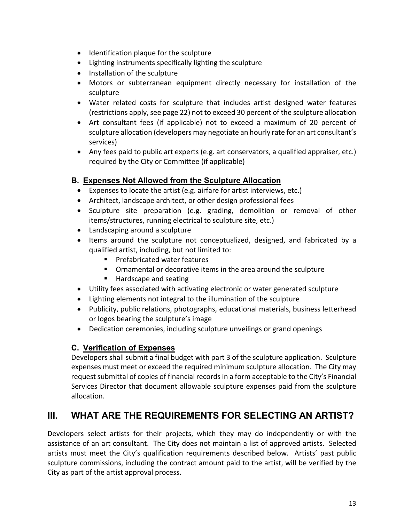- Identification plaque for the sculpture
- Lighting instruments specifically lighting the sculpture
- Installation of the sculpture
- Motors or subterranean equipment directly necessary for installation of the sculpture
- Water related costs for sculpture that includes artist designed water features (restrictions apply, see page 22) not to exceed 30 percent of the sculpture allocation
- Art consultant fees (if applicable) not to exceed a maximum of 20 percent of sculpture allocation (developers may negotiate an hourly rate for an art consultant's services)
- Any fees paid to public art experts (e.g. art conservators, a qualified appraiser, etc.) required by the City or Committee (if applicable)

## **B. Expenses Not Allowed from the Sculpture Allocation**

- Expenses to locate the artist (e.g. airfare for artist interviews, etc.)
- Architect, landscape architect, or other design professional fees
- Sculpture site preparation (e.g. grading, demolition or removal of other items/structures, running electrical to sculpture site, etc.)
- Landscaping around a sculpture
- Items around the sculpture not conceptualized, designed, and fabricated by a qualified artist, including, but not limited to:
	- **Prefabricated water features**
	- Ornamental or decorative items in the area around the sculpture
	- Hardscape and seating
- Utility fees associated with activating electronic or water generated sculpture
- Lighting elements not integral to the illumination of the sculpture
- Publicity, public relations, photographs, educational materials, business letterhead or logos bearing the sculpture's image
- Dedication ceremonies, including sculpture unveilings or grand openings

#### **C. Verification of Expenses**

Developers shall submit a final budget with part 3 of the sculpture application. Sculpture expenses must meet or exceed the required minimum sculpture allocation. The City may request submittal of copies of financial records in a form acceptable to the City's Financial Services Director that document allowable sculpture expenses paid from the sculpture allocation.

# **III. WHAT ARE THE REQUIREMENTS FOR SELECTING AN ARTIST?**

Developers select artists for their projects, which they may do independently or with the assistance of an art consultant. The City does not maintain a list of approved artists. Selected artists must meet the City's qualification requirements described below. Artists' past public sculpture commissions, including the contract amount paid to the artist, will be verified by the City as part of the artist approval process.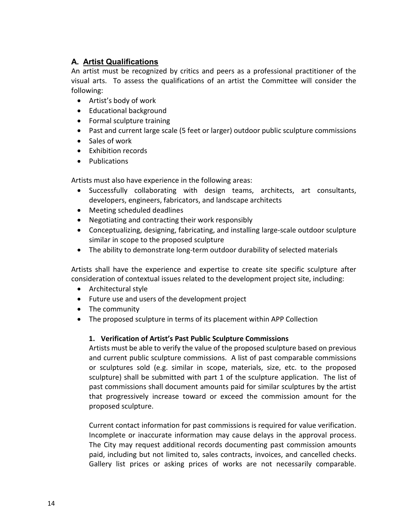# **A. Artist Qualifications**

An artist must be recognized by critics and peers as a professional practitioner of the visual arts. To assess the qualifications of an artist the Committee will consider the following:

- Artist's body of work
- Educational background
- Formal sculpture training
- Past and current large scale (5 feet or larger) outdoor public sculpture commissions
- Sales of work
- Exhibition records
- Publications

Artists must also have experience in the following areas:

- Successfully collaborating with design teams, architects, art consultants, developers, engineers, fabricators, and landscape architects
- Meeting scheduled deadlines
- Negotiating and contracting their work responsibly
- Conceptualizing, designing, fabricating, and installing large-scale outdoor sculpture similar in scope to the proposed sculpture
- The ability to demonstrate long-term outdoor durability of selected materials

Artists shall have the experience and expertise to create site specific sculpture after consideration of contextual issues related to the development project site, including:

- Architectural style
- Future use and users of the development project
- The community
- The proposed sculpture in terms of its placement within APP Collection

#### **1. Verification of Artist's Past Public Sculpture Commissions**

Artists must be able to verify the value of the proposed sculpture based on previous and current public sculpture commissions. A list of past comparable commissions or sculptures sold (e.g. similar in scope, materials, size, etc. to the proposed sculpture) shall be submitted with part 1 of the sculpture application. The list of past commissions shall document amounts paid for similar sculptures by the artist that progressively increase toward or exceed the commission amount for the proposed sculpture.

Current contact information for past commissions is required for value verification. Incomplete or inaccurate information may cause delays in the approval process. The City may request additional records documenting past commission amounts paid, including but not limited to, sales contracts, invoices, and cancelled checks. Gallery list prices or asking prices of works are not necessarily comparable.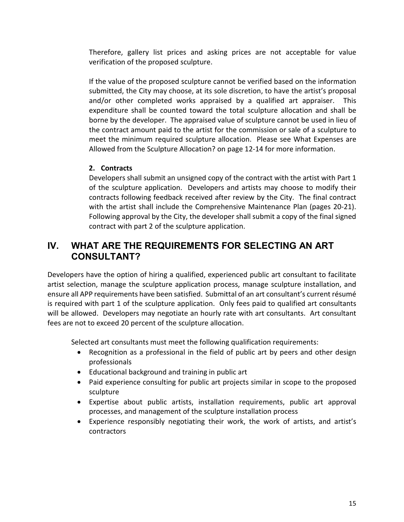Therefore, gallery list prices and asking prices are not acceptable for value verification of the proposed sculpture.

If the value of the proposed sculpture cannot be verified based on the information submitted, the City may choose, at its sole discretion, to have the artist's proposal and/or other completed works appraised by a qualified art appraiser. This expenditure shall be counted toward the total sculpture allocation and shall be borne by the developer. The appraised value of sculpture cannot be used in lieu of the contract amount paid to the artist for the commission or sale of a sculpture to meet the minimum required sculpture allocation. Please see What Expenses are Allowed from the Sculpture Allocation? on page 12-14 for more information.

#### **2. Contracts**

Developers shall submit an unsigned copy of the contract with the artist with Part 1 of the sculpture application. Developers and artists may choose to modify their contracts following feedback received after review by the City. The final contract with the artist shall include the Comprehensive Maintenance Plan (pages 20-21). Following approval by the City, the developer shall submit a copy of the final signed contract with part 2 of the sculpture application.

# **IV. WHAT ARE THE REQUIREMENTS FOR SELECTING AN ART CONSULTANT?**

Developers have the option of hiring a qualified, experienced public art consultant to facilitate artist selection, manage the sculpture application process, manage sculpture installation, and ensure all APP requirements have been satisfied. Submittal of an art consultant's current résumé is required with part 1 of the sculpture application. Only fees paid to qualified art consultants will be allowed. Developers may negotiate an hourly rate with art consultants. Art consultant fees are not to exceed 20 percent of the sculpture allocation.

Selected art consultants must meet the following qualification requirements:

- Recognition as a professional in the field of public art by peers and other design professionals
- Educational background and training in public art
- Paid experience consulting for public art projects similar in scope to the proposed sculpture
- Expertise about public artists, installation requirements, public art approval processes, and management of the sculpture installation process
- Experience responsibly negotiating their work, the work of artists, and artist's contractors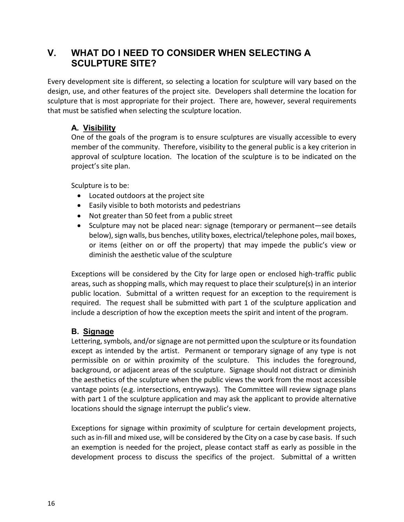# **V. WHAT DO I NEED TO CONSIDER WHEN SELECTING A SCULPTURE SITE?**

Every development site is different, so selecting a location for sculpture will vary based on the design, use, and other features of the project site. Developers shall determine the location for sculpture that is most appropriate for their project. There are, however, several requirements that must be satisfied when selecting the sculpture location.

# **A. Visibility**

One of the goals of the program is to ensure sculptures are visually accessible to every member of the community. Therefore, visibility to the general public is a key criterion in approval of sculpture location. The location of the sculpture is to be indicated on the project's site plan.

Sculpture is to be:

- Located outdoors at the project site
- Easily visible to both motorists and pedestrians
- Not greater than 50 feet from a public street
- Sculpture may not be placed near: signage (temporary or permanent—see details below), sign walls, bus benches, utility boxes, electrical/telephone poles, mail boxes, or items (either on or off the property) that may impede the public's view or diminish the aesthetic value of the sculpture

Exceptions will be considered by the City for large open or enclosed high-traffic public areas, such as shopping malls, which may request to place their sculpture(s) in an interior public location. Submittal of a written request for an exception to the requirement is required. The request shall be submitted with part 1 of the sculpture application and include a description of how the exception meets the spirit and intent of the program.

# **B. Signage**

Lettering, symbols, and/or signage are not permitted upon the sculpture or its foundation except as intended by the artist. Permanent or temporary signage of any type is not permissible on or within proximity of the sculpture. This includes the foreground, background, or adjacent areas of the sculpture. Signage should not distract or diminish the aesthetics of the sculpture when the public views the work from the most accessible vantage points (e.g. intersections, entryways). The Committee will review signage plans with part 1 of the sculpture application and may ask the applicant to provide alternative locations should the signage interrupt the public's view.

Exceptions for signage within proximity of sculpture for certain development projects, such as in-fill and mixed use, will be considered by the City on a case by case basis. If such an exemption is needed for the project, please contact staff as early as possible in the development process to discuss the specifics of the project. Submittal of a written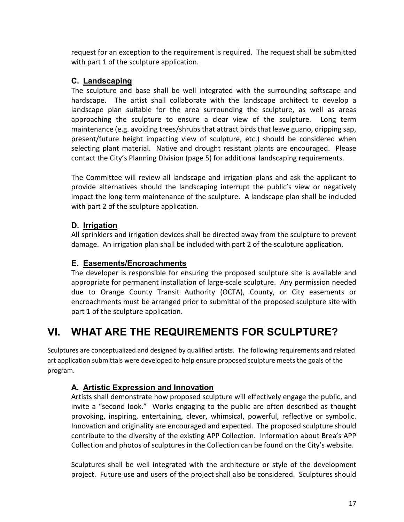request for an exception to the requirement is required. The request shall be submitted with part 1 of the sculpture application.

# **C. Landscaping**

The sculpture and base shall be well integrated with the surrounding softscape and hardscape. The artist shall collaborate with the landscape architect to develop a landscape plan suitable for the area surrounding the sculpture, as well as areas approaching the sculpture to ensure a clear view of the sculpture. Long term maintenance (e.g. avoiding trees/shrubs that attract birds that leave guano, dripping sap, present/future height impacting view of sculpture, etc.) should be considered when selecting plant material. Native and drought resistant plants are encouraged. Please contact the City's Planning Division (page 5) for additional landscaping requirements.

The Committee will review all landscape and irrigation plans and ask the applicant to provide alternatives should the landscaping interrupt the public's view or negatively impact the long-term maintenance of the sculpture. A landscape plan shall be included with part 2 of the sculpture application.

# **D. Irrigation**

All sprinklers and irrigation devices shall be directed away from the sculpture to prevent damage. An irrigation plan shall be included with part 2 of the sculpture application.

# **E. Easements/Encroachments**

The developer is responsible for ensuring the proposed sculpture site is available and appropriate for permanent installation of large-scale sculpture. Any permission needed due to Orange County Transit Authority (OCTA), County, or City easements or encroachments must be arranged prior to submittal of the proposed sculpture site with part 1 of the sculpture application.

# **VI. WHAT ARE THE REQUIREMENTS FOR SCULPTURE?**

Sculptures are conceptualized and designed by qualified artists. The following requirements and related art application submittals were developed to help ensure proposed sculpture meets the goals of the program.

# **A. Artistic Expression and Innovation**

Artists shall demonstrate how proposed sculpture will effectively engage the public, and invite a "second look." Works engaging to the public are often described as thought provoking, inspiring, entertaining, clever, whimsical, powerful, reflective or symbolic. Innovation and originality are encouraged and expected. The proposed sculpture should contribute to the diversity of the existing APP Collection. Information about Brea's APP Collection and photos of sculptures in the Collection can be found on the City's website.

Sculptures shall be well integrated with the architecture or style of the development project. Future use and users of the project shall also be considered. Sculptures should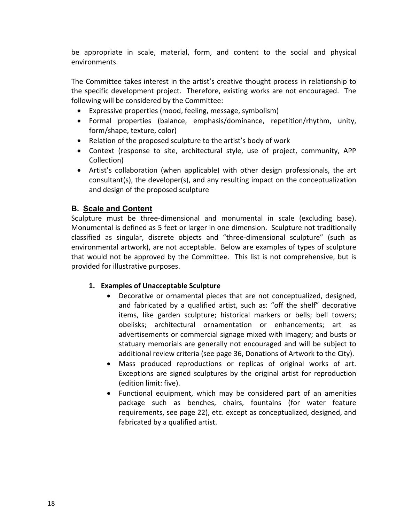be appropriate in scale, material, form, and content to the social and physical environments.

The Committee takes interest in the artist's creative thought process in relationship to the specific development project. Therefore, existing works are not encouraged. The following will be considered by the Committee:

- Expressive properties (mood, feeling, message, symbolism)
- Formal properties (balance, emphasis/dominance, repetition/rhythm, unity, form/shape, texture, color)
- Relation of the proposed sculpture to the artist's body of work
- Context (response to site, architectural style, use of project, community, APP Collection)
- Artist's collaboration (when applicable) with other design professionals, the art consultant(s), the developer(s), and any resulting impact on the conceptualization and design of the proposed sculpture

#### **B. Scale and Content**

Sculpture must be three-dimensional and monumental in scale (excluding base). Monumental is defined as 5 feet or larger in one dimension. Sculpture not traditionally classified as singular, discrete objects and "three-dimensional sculpture" (such as environmental artwork), are not acceptable. Below are examples of types of sculpture that would not be approved by the Committee. This list is not comprehensive, but is provided for illustrative purposes.

#### **1. Examples of Unacceptable Sculpture**

- Decorative or ornamental pieces that are not conceptualized, designed, and fabricated by a qualified artist, such as: "off the shelf" decorative items, like garden sculpture; historical markers or bells; bell towers; obelisks; architectural ornamentation or enhancements; art as advertisements or commercial signage mixed with imagery; and busts or statuary memorials are generally not encouraged and will be subject to additional review criteria (see page 36, Donations of Artwork to the City).
- Mass produced reproductions or replicas of original works of art. Exceptions are signed sculptures by the original artist for reproduction (edition limit: five).
- Functional equipment, which may be considered part of an amenities package such as benches, chairs, fountains (for water feature requirements, see page 22), etc. except as conceptualized, designed, and fabricated by a qualified artist.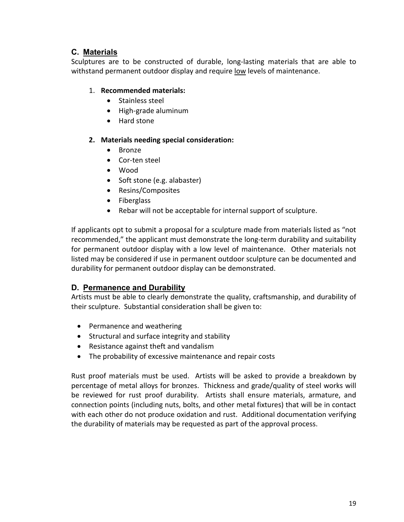## **C. Materials**

Sculptures are to be constructed of durable, long-lasting materials that are able to withstand permanent outdoor display and require low levels of maintenance.

#### 1. **Recommended materials:**

- Stainless steel
- High-grade aluminum
- Hard stone

#### **2. Materials needing special consideration:**

- Bronze
- Cor-ten steel
- Wood
- Soft stone (e.g. alabaster)
- Resins/Composites
- Fiberglass
- Rebar will not be acceptable for internal support of sculpture.

If applicants opt to submit a proposal for a sculpture made from materials listed as "not recommended," the applicant must demonstrate the long-term durability and suitability for permanent outdoor display with a low level of maintenance. Other materials not listed may be considered if use in permanent outdoor sculpture can be documented and durability for permanent outdoor display can be demonstrated.

#### **D. Permanence and Durability**

Artists must be able to clearly demonstrate the quality, craftsmanship, and durability of their sculpture. Substantial consideration shall be given to:

- Permanence and weathering
- Structural and surface integrity and stability
- Resistance against theft and vandalism
- The probability of excessive maintenance and repair costs

Rust proof materials must be used. Artists will be asked to provide a breakdown by percentage of metal alloys for bronzes. Thickness and grade/quality of steel works will be reviewed for rust proof durability. Artists shall ensure materials, armature, and connection points (including nuts, bolts, and other metal fixtures) that will be in contact with each other do not produce oxidation and rust. Additional documentation verifying the durability of materials may be requested as part of the approval process.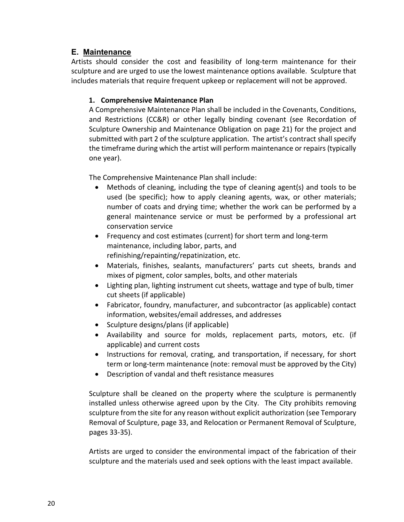#### **E. Maintenance**

Artists should consider the cost and feasibility of long-term maintenance for their sculpture and are urged to use the lowest maintenance options available. Sculpture that includes materials that require frequent upkeep or replacement will not be approved.

#### **1. Comprehensive Maintenance Plan**

A Comprehensive Maintenance Plan shall be included in the Covenants, Conditions, and Restrictions (CC&R) or other legally binding covenant (see Recordation of Sculpture Ownership and Maintenance Obligation on page 21) for the project and submitted with part 2 of the sculpture application. The artist's contract shall specify the timeframe during which the artist will perform maintenance or repairs (typically one year).

The Comprehensive Maintenance Plan shall include:

- Methods of cleaning, including the type of cleaning agent(s) and tools to be used (be specific); how to apply cleaning agents, wax, or other materials; number of coats and drying time; whether the work can be performed by a general maintenance service or must be performed by a professional art conservation service
- Frequency and cost estimates (current) for short term and long-term maintenance, including labor, parts, and refinishing/repainting/repatinization, etc.
- Materials, finishes, sealants, manufacturers' parts cut sheets, brands and mixes of pigment, color samples, bolts, and other materials
- Lighting plan, lighting instrument cut sheets, wattage and type of bulb, timer cut sheets (if applicable)
- Fabricator, foundry, manufacturer, and subcontractor (as applicable) contact information, websites/email addresses, and addresses
- Sculpture designs/plans (if applicable)
- Availability and source for molds, replacement parts, motors, etc. (if applicable) and current costs
- Instructions for removal, crating, and transportation, if necessary, for short term or long-term maintenance (note: removal must be approved by the City)
- Description of vandal and theft resistance measures

Sculpture shall be cleaned on the property where the sculpture is permanently installed unless otherwise agreed upon by the City. The City prohibits removing sculpture from the site for any reason without explicit authorization (see Temporary Removal of Sculpture, page 33, and Relocation or Permanent Removal of Sculpture, pages 33-35).

Artists are urged to consider the environmental impact of the fabrication of their sculpture and the materials used and seek options with the least impact available.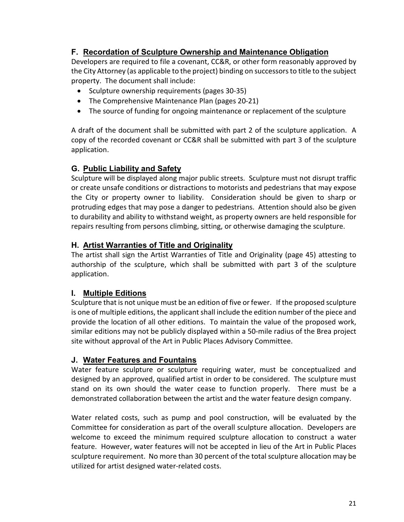## **F. Recordation of Sculpture Ownership and Maintenance Obligation**

Developers are required to file a covenant, CC&R, or other form reasonably approved by the City Attorney (as applicable to the project) binding on successors to title to the subject property. The document shall include:

- Sculpture ownership requirements (pages 30-35)
- The Comprehensive Maintenance Plan (pages 20-21)
- The source of funding for ongoing maintenance or replacement of the sculpture

A draft of the document shall be submitted with part 2 of the sculpture application. A copy of the recorded covenant or CC&R shall be submitted with part 3 of the sculpture application.

#### **G. Public Liability and Safety**

Sculpture will be displayed along major public streets. Sculpture must not disrupt traffic or create unsafe conditions or distractions to motorists and pedestrians that may expose the City or property owner to liability. Consideration should be given to sharp or protruding edges that may pose a danger to pedestrians. Attention should also be given to durability and ability to withstand weight, as property owners are held responsible for repairs resulting from persons climbing, sitting, or otherwise damaging the sculpture.

#### **H. Artist Warranties of Title and Originality**

The artist shall sign the Artist Warranties of Title and Originality (page 45) attesting to authorship of the sculpture, which shall be submitted with part 3 of the sculpture application.

#### **I. Multiple Editions**

Sculpture that is not unique must be an edition of five or fewer. If the proposed sculpture is one of multiple editions, the applicant shall include the edition number of the piece and provide the location of all other editions. To maintain the value of the proposed work, similar editions may not be publicly displayed within a 50-mile radius of the Brea project site without approval of the Art in Public Places Advisory Committee.

#### **J. Water Features and Fountains**

Water feature sculpture or sculpture requiring water, must be conceptualized and designed by an approved, qualified artist in order to be considered. The sculpture must stand on its own should the water cease to function properly. There must be a demonstrated collaboration between the artist and the water feature design company.

Water related costs, such as pump and pool construction, will be evaluated by the Committee for consideration as part of the overall sculpture allocation. Developers are welcome to exceed the minimum required sculpture allocation to construct a water feature. However, water features will not be accepted in lieu of the Art in Public Places sculpture requirement. No more than 30 percent of the total sculpture allocation may be utilized for artist designed water-related costs.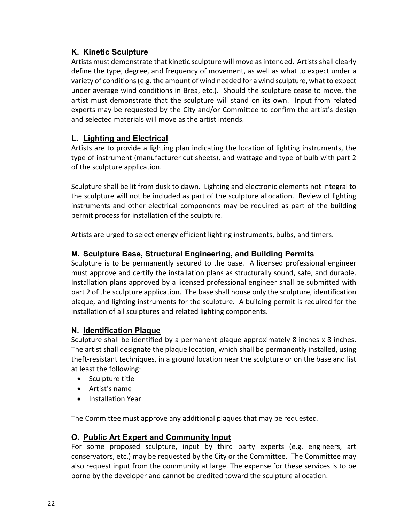#### **K. Kinetic Sculpture**

Artists must demonstrate that kinetic sculpture will move as intended. Artists shall clearly define the type, degree, and frequency of movement, as well as what to expect under a variety of conditions (e.g. the amount of wind needed for a wind sculpture, what to expect under average wind conditions in Brea, etc.). Should the sculpture cease to move, the artist must demonstrate that the sculpture will stand on its own. Input from related experts may be requested by the City and/or Committee to confirm the artist's design and selected materials will move as the artist intends.

# **L. Lighting and Electrical**

Artists are to provide a lighting plan indicating the location of lighting instruments, the type of instrument (manufacturer cut sheets), and wattage and type of bulb with part 2 of the sculpture application.

Sculpture shall be lit from dusk to dawn. Lighting and electronic elements not integral to the sculpture will not be included as part of the sculpture allocation. Review of lighting instruments and other electrical components may be required as part of the building permit process for installation of the sculpture.

Artists are urged to select energy efficient lighting instruments, bulbs, and timers.

#### **M. Sculpture Base, Structural Engineering, and Building Permits**

Sculpture is to be permanently secured to the base. A licensed professional engineer must approve and certify the installation plans as structurally sound, safe, and durable. Installation plans approved by a licensed professional engineer shall be submitted with part 2 of the sculpture application. The base shall house only the sculpture, identification plaque, and lighting instruments for the sculpture. A building permit is required for the installation of all sculptures and related lighting components.

#### **N. Identification Plaque**

Sculpture shall be identified by a permanent plaque approximately 8 inches x 8 inches. The artist shall designate the plaque location, which shall be permanently installed, using theft-resistant techniques, in a ground location near the sculpture or on the base and list at least the following:

- Sculpture title
- Artist's name
- Installation Year

The Committee must approve any additional plaques that may be requested.

#### **O. Public Art Expert and Community Input**

For some proposed sculpture, input by third party experts (e.g. engineers, art conservators, etc.) may be requested by the City or the Committee. The Committee may also request input from the community at large. The expense for these services is to be borne by the developer and cannot be credited toward the sculpture allocation.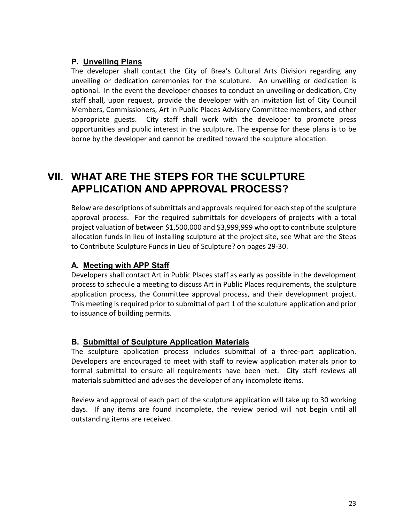#### **P. Unveiling Plans**

The developer shall contact the City of Brea's Cultural Arts Division regarding any unveiling or dedication ceremonies for the sculpture. An unveiling or dedication is optional. In the event the developer chooses to conduct an unveiling or dedication, City staff shall, upon request, provide the developer with an invitation list of City Council Members, Commissioners, Art in Public Places Advisory Committee members, and other appropriate guests. City staff shall work with the developer to promote press opportunities and public interest in the sculpture. The expense for these plans is to be borne by the developer and cannot be credited toward the sculpture allocation.

# **VII. WHAT ARE THE STEPS FOR THE SCULPTURE APPLICATION AND APPROVAL PROCESS?**

Below are descriptions of submittals and approvals required for each step of the sculpture approval process. For the required submittals for developers of projects with a total project valuation of between \$1,500,000 and \$3,999,999 who opt to contribute sculpture allocation funds in lieu of installing sculpture at the project site, see What are the Steps to Contribute Sculpture Funds in Lieu of Sculpture? on pages 29-30.

#### **A. Meeting with APP Staff**

Developers shall contact Art in Public Places staff as early as possible in the development process to schedule a meeting to discuss Art in Public Places requirements, the sculpture application process, the Committee approval process, and their development project. This meeting is required prior to submittal of part 1 of the sculpture application and prior to issuance of building permits.

#### **B. Submittal of Sculpture Application Materials**

The sculpture application process includes submittal of a three-part application. Developers are encouraged to meet with staff to review application materials prior to formal submittal to ensure all requirements have been met. City staff reviews all materials submitted and advises the developer of any incomplete items.

Review and approval of each part of the sculpture application will take up to 30 working days. If any items are found incomplete, the review period will not begin until all outstanding items are received.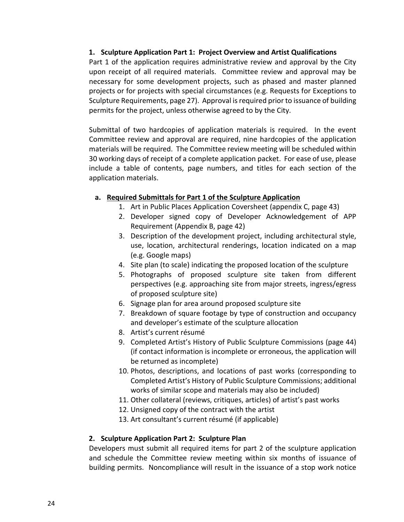#### **1. Sculpture Application Part 1: Project Overview and Artist Qualifications**

Part 1 of the application requires administrative review and approval by the City upon receipt of all required materials. Committee review and approval may be necessary for some development projects, such as phased and master planned projects or for projects with special circumstances (e.g. Requests for Exceptions to Sculpture Requirements, page 27). Approval is required prior to issuance of building permits for the project, unless otherwise agreed to by the City.

Submittal of two hardcopies of application materials is required. In the event Committee review and approval are required, nine hardcopies of the application materials will be required. The Committee review meeting will be scheduled within 30 working days of receipt of a complete application packet. For ease of use, please include a table of contents, page numbers, and titles for each section of the application materials.

#### **a. Required Submittals for Part 1 of the Sculpture Application**

- 1. Art in Public Places Application Coversheet (appendix C, page 43)
- 2. Developer signed copy of Developer Acknowledgement of APP Requirement (Appendix B, page 42)
- 3. Description of the development project, including architectural style, use, location, architectural renderings, location indicated on a map (e.g. Google maps)
- 4. Site plan (to scale) indicating the proposed location of the sculpture
- 5. Photographs of proposed sculpture site taken from different perspectives (e.g. approaching site from major streets, ingress/egress of proposed sculpture site)
- 6. Signage plan for area around proposed sculpture site
- 7. Breakdown of square footage by type of construction and occupancy and developer's estimate of the sculpture allocation
- 8. Artist's current résumé
- 9. Completed Artist's History of Public Sculpture Commissions (page 44) (if contact information is incomplete or erroneous, the application will be returned as incomplete)
- 10. Photos, descriptions, and locations of past works (corresponding to Completed Artist's History of Public Sculpture Commissions; additional works of similar scope and materials may also be included)
- 11. Other collateral (reviews, critiques, articles) of artist's past works
- 12. Unsigned copy of the contract with the artist
- 13. Art consultant's current résumé (if applicable)

#### **2. Sculpture Application Part 2: Sculpture Plan**

Developers must submit all required items for part 2 of the sculpture application and schedule the Committee review meeting within six months of issuance of building permits. Noncompliance will result in the issuance of a stop work notice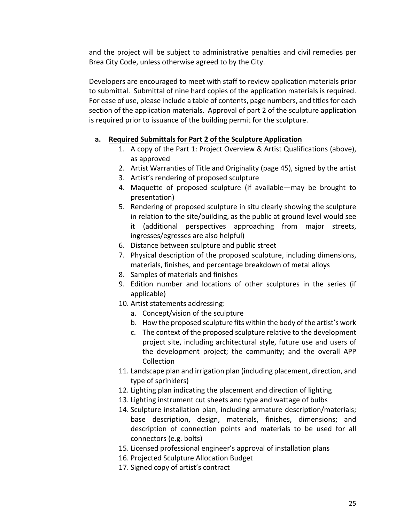and the project will be subject to administrative penalties and civil remedies per Brea City Code, unless otherwise agreed to by the City.

Developers are encouraged to meet with staff to review application materials prior to submittal. Submittal of nine hard copies of the application materials is required. For ease of use, please include a table of contents, page numbers, and titles for each section of the application materials. Approval of part 2 of the sculpture application is required prior to issuance of the building permit for the sculpture.

#### **a. Required Submittals for Part 2 of the Sculpture Application**

- 1. A copy of the Part 1: Project Overview & Artist Qualifications (above), as approved
- 2. Artist Warranties of Title and Originality (page 45), signed by the artist
- 3. Artist's rendering of proposed sculpture
- 4. Maquette of proposed sculpture (if available—may be brought to presentation)
- 5. Rendering of proposed sculpture in situ clearly showing the sculpture in relation to the site/building, as the public at ground level would see it (additional perspectives approaching from major streets, ingresses/egresses are also helpful)
- 6. Distance between sculpture and public street
- 7. Physical description of the proposed sculpture, including dimensions, materials, finishes, and percentage breakdown of metal alloys
- 8. Samples of materials and finishes
- 9. Edition number and locations of other sculptures in the series (if applicable)
- 10. Artist statements addressing:
	- a. Concept/vision of the sculpture
	- b. How the proposed sculpture fits within the body of the artist's work
	- c. The context of the proposed sculpture relative to the development project site, including architectural style, future use and users of the development project; the community; and the overall APP Collection
- 11. Landscape plan and irrigation plan (including placement, direction, and type of sprinklers)
- 12. Lighting plan indicating the placement and direction of lighting
- 13. Lighting instrument cut sheets and type and wattage of bulbs
- 14. Sculpture installation plan, including armature description/materials; base description, design, materials, finishes, dimensions; and description of connection points and materials to be used for all connectors (e.g. bolts)
- 15. Licensed professional engineer's approval of installation plans
- 16. Projected Sculpture Allocation Budget
- 17. Signed copy of artist's contract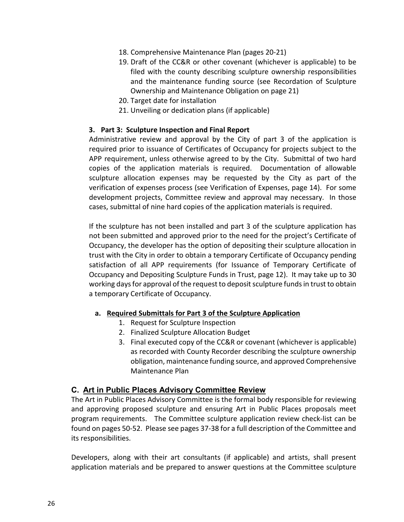- 18. Comprehensive Maintenance Plan (pages 20-21)
- 19. Draft of the CC&R or other covenant (whichever is applicable) to be filed with the county describing sculpture ownership responsibilities and the maintenance funding source (see Recordation of Sculpture Ownership and Maintenance Obligation on page 21)
- 20. Target date for installation
- 21. Unveiling or dedication plans (if applicable)

#### **3. Part 3: Sculpture Inspection and Final Report**

Administrative review and approval by the City of part 3 of the application is required prior to issuance of Certificates of Occupancy for projects subject to the APP requirement, unless otherwise agreed to by the City. Submittal of two hard copies of the application materials is required. Documentation of allowable sculpture allocation expenses may be requested by the City as part of the verification of expenses process (see Verification of Expenses, page 14). For some development projects, Committee review and approval may necessary. In those cases, submittal of nine hard copies of the application materials is required.

If the sculpture has not been installed and part 3 of the sculpture application has not been submitted and approved prior to the need for the project's Certificate of Occupancy, the developer has the option of depositing their sculpture allocation in trust with the City in order to obtain a temporary Certificate of Occupancy pending satisfaction of all APP requirements (for Issuance of Temporary Certificate of Occupancy and Depositing Sculpture Funds in Trust, page 12). It may take up to 30 working days for approval of the request to deposit sculpture funds in trust to obtain a temporary Certificate of Occupancy.

#### **a. Required Submittals for Part 3 of the Sculpture Application**

- 1. Request for Sculpture Inspection
- 2. Finalized Sculpture Allocation Budget
- 3. Final executed copy of the CC&R or covenant (whichever is applicable) as recorded with County Recorder describing the sculpture ownership obligation, maintenance funding source, and approved Comprehensive Maintenance Plan

#### **C. Art in Public Places Advisory Committee Review**

The Art in Public Places Advisory Committee is the formal body responsible for reviewing and approving proposed sculpture and ensuring Art in Public Places proposals meet program requirements. The Committee sculpture application review check-list can be found on pages 50-52. Please see pages 37-38 for a full description of the Committee and its responsibilities.

Developers, along with their art consultants (if applicable) and artists, shall present application materials and be prepared to answer questions at the Committee sculpture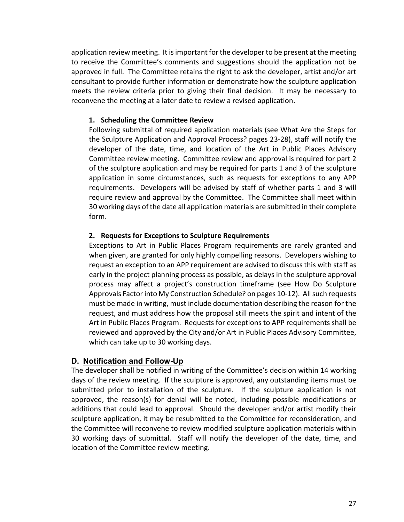application review meeting. It is important for the developer to be present at the meeting to receive the Committee's comments and suggestions should the application not be approved in full. The Committee retains the right to ask the developer, artist and/or art consultant to provide further information or demonstrate how the sculpture application meets the review criteria prior to giving their final decision. It may be necessary to reconvene the meeting at a later date to review a revised application.

#### **1. Scheduling the Committee Review**

Following submittal of required application materials (see What Are the Steps for the Sculpture Application and Approval Process? pages 23-28), staff will notify the developer of the date, time, and location of the Art in Public Places Advisory Committee review meeting. Committee review and approval is required for part 2 of the sculpture application and may be required for parts 1 and 3 of the sculpture application in some circumstances, such as requests for exceptions to any APP requirements. Developers will be advised by staff of whether parts 1 and 3 will require review and approval by the Committee. The Committee shall meet within 30 working days of the date all application materials are submitted in their complete form.

#### **2. Requests for Exceptions to Sculpture Requirements**

Exceptions to Art in Public Places Program requirements are rarely granted and when given, are granted for only highly compelling reasons. Developers wishing to request an exception to an APP requirement are advised to discuss this with staff as early in the project planning process as possible, as delays in the sculpture approval process may affect a project's construction timeframe (see How Do Sculpture Approvals Factor into My Construction Schedule? on pages 10-12). All such requests must be made in writing, must include documentation describing the reason for the request, and must address how the proposal still meets the spirit and intent of the Art in Public Places Program. Requests for exceptions to APP requirements shall be reviewed and approved by the City and/or Art in Public Places Advisory Committee, which can take up to 30 working days.

#### **D. Notification and Follow-Up**

The developer shall be notified in writing of the Committee's decision within 14 working days of the review meeting. If the sculpture is approved, any outstanding items must be submitted prior to installation of the sculpture. If the sculpture application is not approved, the reason(s) for denial will be noted, including possible modifications or additions that could lead to approval. Should the developer and/or artist modify their sculpture application, it may be resubmitted to the Committee for reconsideration, and the Committee will reconvene to review modified sculpture application materials within 30 working days of submittal. Staff will notify the developer of the date, time, and location of the Committee review meeting.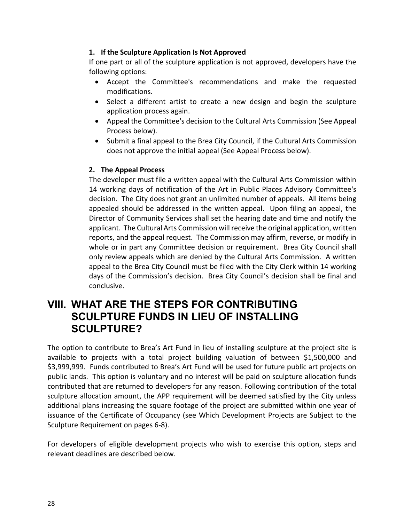#### **1. If the Sculpture Application Is Not Approved**

If one part or all of the sculpture application is not approved, developers have the following options:

- Accept the Committee's recommendations and make the requested modifications.
- Select a different artist to create a new design and begin the sculpture application process again.
- Appeal the Committee's decision to the Cultural Arts Commission (See Appeal Process below).
- Submit a final appeal to the Brea City Council, if the Cultural Arts Commission does not approve the initial appeal (See Appeal Process below).

#### **2. The Appeal Process**

The developer must file a written appeal with the Cultural Arts Commission within 14 working days of notification of the Art in Public Places Advisory Committee's decision. The City does not grant an unlimited number of appeals. All items being appealed should be addressed in the written appeal. Upon filing an appeal, the Director of Community Services shall set the hearing date and time and notify the applicant. The Cultural Arts Commission will receive the original application, written reports, and the appeal request. The Commission may affirm, reverse, or modify in whole or in part any Committee decision or requirement. Brea City Council shall only review appeals which are denied by the Cultural Arts Commission. A written appeal to the Brea City Council must be filed with the City Clerk within 14 working days of the Commission's decision. Brea City Council's decision shall be final and conclusive.

# **VIII. WHAT ARE THE STEPS FOR CONTRIBUTING SCULPTURE FUNDS IN LIEU OF INSTALLING SCULPTURE?**

The option to contribute to Brea's Art Fund in lieu of installing sculpture at the project site is available to projects with a total project building valuation of between \$1,500,000 and \$3,999,999. Funds contributed to Brea's Art Fund will be used for future public art projects on public lands. This option is voluntary and no interest will be paid on sculpture allocation funds contributed that are returned to developers for any reason. Following contribution of the total sculpture allocation amount, the APP requirement will be deemed satisfied by the City unless additional plans increasing the square footage of the project are submitted within one year of issuance of the Certificate of Occupancy (see Which Development Projects are Subject to the Sculpture Requirement on pages 6-8).

For developers of eligible development projects who wish to exercise this option, steps and relevant deadlines are described below.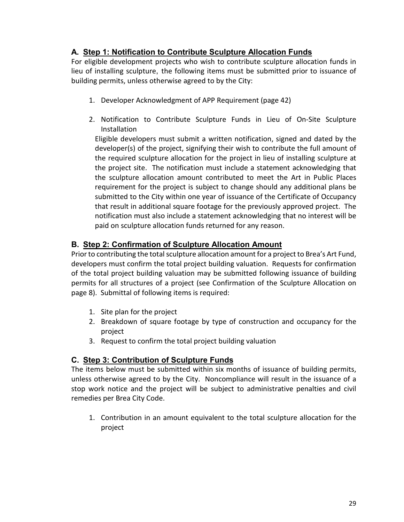## **A. Step 1: Notification to Contribute Sculpture Allocation Funds**

For eligible development projects who wish to contribute sculpture allocation funds in lieu of installing sculpture, the following items must be submitted prior to issuance of building permits, unless otherwise agreed to by the City:

- 1. Developer Acknowledgment of APP Requirement (page 42)
- 2. Notification to Contribute Sculpture Funds in Lieu of On-Site Sculpture Installation

Eligible developers must submit a written notification, signed and dated by the developer(s) of the project, signifying their wish to contribute the full amount of the required sculpture allocation for the project in lieu of installing sculpture at the project site. The notification must include a statement acknowledging that the sculpture allocation amount contributed to meet the Art in Public Places requirement for the project is subject to change should any additional plans be submitted to the City within one year of issuance of the Certificate of Occupancy that result in additional square footage for the previously approved project. The notification must also include a statement acknowledging that no interest will be paid on sculpture allocation funds returned for any reason.

#### **B. Step 2: Confirmation of Sculpture Allocation Amount**

Prior to contributing the total sculpture allocation amount for a project to Brea's Art Fund, developers must confirm the total project building valuation. Requests for confirmation of the total project building valuation may be submitted following issuance of building permits for all structures of a project (see Confirmation of the Sculpture Allocation on page 8). Submittal of following items is required:

- 1. Site plan for the project
- 2. Breakdown of square footage by type of construction and occupancy for the project
- 3. Request to confirm the total project building valuation

# **C. Step 3: Contribution of Sculpture Funds**

The items below must be submitted within six months of issuance of building permits, unless otherwise agreed to by the City. Noncompliance will result in the issuance of a stop work notice and the project will be subject to administrative penalties and civil remedies per Brea City Code.

1. Contribution in an amount equivalent to the total sculpture allocation for the project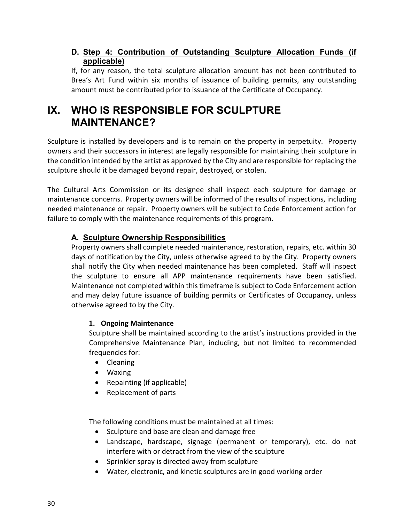#### **D. Step 4: Contribution of Outstanding Sculpture Allocation Funds (if applicable)**

If, for any reason, the total sculpture allocation amount has not been contributed to Brea's Art Fund within six months of issuance of building permits, any outstanding amount must be contributed prior to issuance of the Certificate of Occupancy.

# **IX. WHO IS RESPONSIBLE FOR SCULPTURE MAINTENANCE?**

Sculpture is installed by developers and is to remain on the property in perpetuity. Property owners and their successors in interest are legally responsible for maintaining their sculpture in the condition intended by the artist as approved by the City and are responsible for replacing the sculpture should it be damaged beyond repair, destroyed, or stolen.

The Cultural Arts Commission or its designee shall inspect each sculpture for damage or maintenance concerns. Property owners will be informed of the results of inspections, including needed maintenance or repair. Property owners will be subject to Code Enforcement action for failure to comply with the maintenance requirements of this program.

## **A. Sculpture Ownership Responsibilities**

Property owners shall complete needed maintenance, restoration, repairs, etc. within 30 days of notification by the City, unless otherwise agreed to by the City. Property owners shall notify the City when needed maintenance has been completed. Staff will inspect the sculpture to ensure all APP maintenance requirements have been satisfied. Maintenance not completed within this timeframe is subject to Code Enforcement action and may delay future issuance of building permits or Certificates of Occupancy, unless otherwise agreed to by the City.

#### **1. Ongoing Maintenance**

Sculpture shall be maintained according to the artist's instructions provided in the Comprehensive Maintenance Plan, including, but not limited to recommended frequencies for:

- Cleaning
- Waxing
- Repainting (if applicable)
- Replacement of parts

The following conditions must be maintained at all times:

- Sculpture and base are clean and damage free
- Landscape, hardscape, signage (permanent or temporary), etc. do not interfere with or detract from the view of the sculpture
- Sprinkler spray is directed away from sculpture
- Water, electronic, and kinetic sculptures are in good working order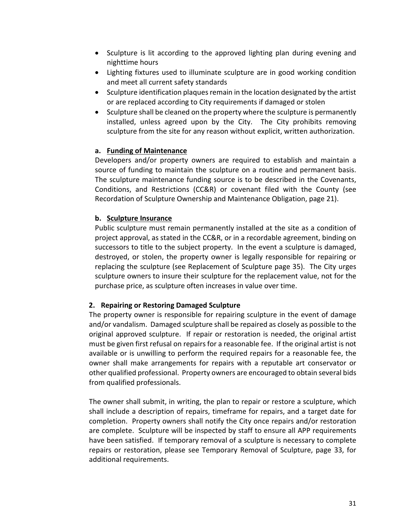- Sculpture is lit according to the approved lighting plan during evening and nighttime hours
- Lighting fixtures used to illuminate sculpture are in good working condition and meet all current safety standards
- Sculpture identification plaques remain in the location designated by the artist or are replaced according to City requirements if damaged or stolen
- Sculpture shall be cleaned on the property where the sculpture is permanently installed, unless agreed upon by the City. The City prohibits removing sculpture from the site for any reason without explicit, written authorization.

#### **a. Funding of Maintenance**

Developers and/or property owners are required to establish and maintain a source of funding to maintain the sculpture on a routine and permanent basis. The sculpture maintenance funding source is to be described in the Covenants, Conditions, and Restrictions (CC&R) or covenant filed with the County (see Recordation of Sculpture Ownership and Maintenance Obligation, page 21).

#### **b. Sculpture Insurance**

Public sculpture must remain permanently installed at the site as a condition of project approval, as stated in the CC&R, or in a recordable agreement, binding on successors to title to the subject property. In the event a sculpture is damaged, destroyed, or stolen, the property owner is legally responsible for repairing or replacing the sculpture (see Replacement of Sculpture page 35). The City urges sculpture owners to insure their sculpture for the replacement value, not for the purchase price, as sculpture often increases in value over time.

#### **2. Repairing or Restoring Damaged Sculpture**

The property owner is responsible for repairing sculpture in the event of damage and/or vandalism. Damaged sculpture shall be repaired as closely as possible to the original approved sculpture. If repair or restoration is needed, the original artist must be given first refusal on repairs for a reasonable fee. If the original artist is not available or is unwilling to perform the required repairs for a reasonable fee, the owner shall make arrangements for repairs with a reputable art conservator or other qualified professional. Property owners are encouraged to obtain several bids from qualified professionals.

The owner shall submit, in writing, the plan to repair or restore a sculpture, which shall include a description of repairs, timeframe for repairs, and a target date for completion. Property owners shall notify the City once repairs and/or restoration are complete. Sculpture will be inspected by staff to ensure all APP requirements have been satisfied. If temporary removal of a sculpture is necessary to complete repairs or restoration, please see Temporary Removal of Sculpture, page 33, for additional requirements.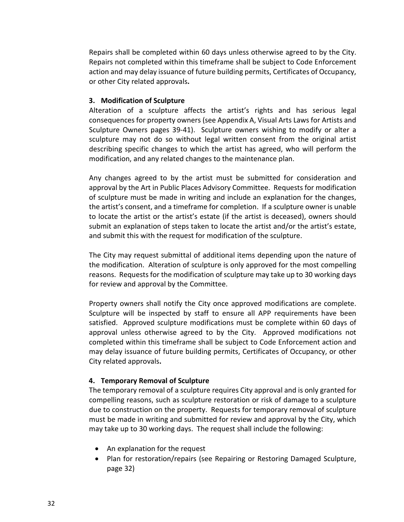Repairs shall be completed within 60 days unless otherwise agreed to by the City. Repairs not completed within this timeframe shall be subject to Code Enforcement action and may delay issuance of future building permits, Certificates of Occupancy, or other City related approvals**.**

#### **3. Modification of Sculpture**

Alteration of a sculpture affects the artist's rights and has serious legal consequences for property owners (see Appendix A, Visual Arts Laws for Artists and Sculpture Owners pages 39-41). Sculpture owners wishing to modify or alter a sculpture may not do so without legal written consent from the original artist describing specific changes to which the artist has agreed, who will perform the modification, and any related changes to the maintenance plan.

Any changes agreed to by the artist must be submitted for consideration and approval by the Art in Public Places Advisory Committee. Requests for modification of sculpture must be made in writing and include an explanation for the changes, the artist's consent, and a timeframe for completion. If a sculpture owner is unable to locate the artist or the artist's estate (if the artist is deceased), owners should submit an explanation of steps taken to locate the artist and/or the artist's estate, and submit this with the request for modification of the sculpture.

The City may request submittal of additional items depending upon the nature of the modification. Alteration of sculpture is only approved for the most compelling reasons. Requests for the modification of sculpture may take up to 30 working days for review and approval by the Committee.

Property owners shall notify the City once approved modifications are complete. Sculpture will be inspected by staff to ensure all APP requirements have been satisfied. Approved sculpture modifications must be complete within 60 days of approval unless otherwise agreed to by the City. Approved modifications not completed within this timeframe shall be subject to Code Enforcement action and may delay issuance of future building permits, Certificates of Occupancy, or other City related approvals**.**

#### **4. Temporary Removal of Sculpture**

The temporary removal of a sculpture requires City approval and is only granted for compelling reasons, such as sculpture restoration or risk of damage to a sculpture due to construction on the property. Requests for temporary removal of sculpture must be made in writing and submitted for review and approval by the City, which may take up to 30 working days. The request shall include the following:

- An explanation for the request
- Plan for restoration/repairs (see Repairing or Restoring Damaged Sculpture, page 32)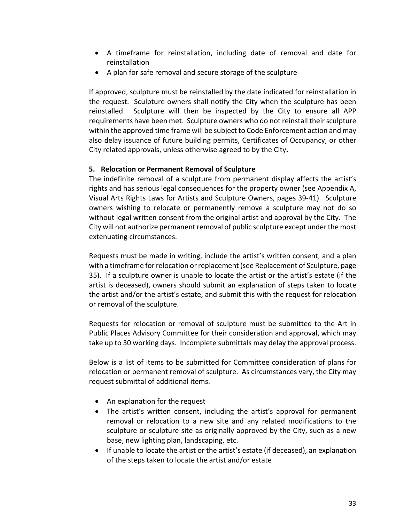- A timeframe for reinstallation, including date of removal and date for reinstallation
- A plan for safe removal and secure storage of the sculpture

If approved, sculpture must be reinstalled by the date indicated for reinstallation in the request. Sculpture owners shall notify the City when the sculpture has been reinstalled. Sculpture will then be inspected by the City to ensure all APP requirements have been met. Sculpture owners who do not reinstall their sculpture within the approved time frame will be subject to Code Enforcement action and may also delay issuance of future building permits, Certificates of Occupancy, or other City related approvals, unless otherwise agreed to by the City**.**

#### **5. Relocation or Permanent Removal of Sculpture**

The indefinite removal of a sculpture from permanent display affects the artist's rights and has serious legal consequences for the property owner (see Appendix A, Visual Arts Rights Laws for Artists and Sculpture Owners, pages 39-41). Sculpture owners wishing to relocate or permanently remove a sculpture may not do so without legal written consent from the original artist and approval by the City. The City will not authorize permanent removal of public sculpture except under the most extenuating circumstances.

Requests must be made in writing, include the artist's written consent, and a plan with a timeframe for relocation or replacement (see Replacement of Sculpture, page 35). If a sculpture owner is unable to locate the artist or the artist's estate (if the artist is deceased), owners should submit an explanation of steps taken to locate the artist and/or the artist's estate, and submit this with the request for relocation or removal of the sculpture.

Requests for relocation or removal of sculpture must be submitted to the Art in Public Places Advisory Committee for their consideration and approval, which may take up to 30 working days. Incomplete submittals may delay the approval process.

Below is a list of items to be submitted for Committee consideration of plans for relocation or permanent removal of sculpture. As circumstances vary, the City may request submittal of additional items.

- An explanation for the request
- The artist's written consent, including the artist's approval for permanent removal or relocation to a new site and any related modifications to the sculpture or sculpture site as originally approved by the City, such as a new base, new lighting plan, landscaping, etc.
- If unable to locate the artist or the artist's estate (if deceased), an explanation of the steps taken to locate the artist and/or estate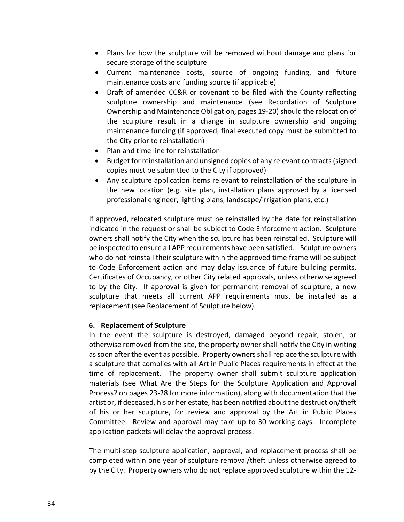- Plans for how the sculpture will be removed without damage and plans for secure storage of the sculpture
- Current maintenance costs, source of ongoing funding, and future maintenance costs and funding source (if applicable)
- Draft of amended CC&R or covenant to be filed with the County reflecting sculpture ownership and maintenance (see Recordation of Sculpture Ownership and Maintenance Obligation, pages 19-20) should the relocation of the sculpture result in a change in sculpture ownership and ongoing maintenance funding (if approved, final executed copy must be submitted to the City prior to reinstallation)
- Plan and time line for reinstallation
- Budget for reinstallation and unsigned copies of any relevant contracts (signed copies must be submitted to the City if approved)
- Any sculpture application items relevant to reinstallation of the sculpture in the new location (e.g. site plan, installation plans approved by a licensed professional engineer, lighting plans, landscape/irrigation plans, etc.)

If approved, relocated sculpture must be reinstalled by the date for reinstallation indicated in the request or shall be subject to Code Enforcement action. Sculpture owners shall notify the City when the sculpture has been reinstalled. Sculpture will be inspected to ensure all APP requirements have been satisfied. Sculpture owners who do not reinstall their sculpture within the approved time frame will be subject to Code Enforcement action and may delay issuance of future building permits, Certificates of Occupancy, or other City related approvals, unless otherwise agreed to by the City. If approval is given for permanent removal of sculpture, a new sculpture that meets all current APP requirements must be installed as a replacement (see Replacement of Sculpture below).

#### **6. Replacement of Sculpture**

In the event the sculpture is destroyed, damaged beyond repair, stolen, or otherwise removed from the site, the property owner shall notify the City in writing as soon after the event as possible. Property owners shall replace the sculpture with a sculpture that complies with all Art in Public Places requirements in effect at the time of replacement. The property owner shall submit sculpture application materials (see What Are the Steps for the Sculpture Application and Approval Process? on pages 23-28 for more information), along with documentation that the artist or, if deceased, his or her estate, has been notified about the destruction/theft of his or her sculpture, for review and approval by the Art in Public Places Committee. Review and approval may take up to 30 working days. Incomplete application packets will delay the approval process.

The multi-step sculpture application, approval, and replacement process shall be completed within one year of sculpture removal/theft unless otherwise agreed to by the City. Property owners who do not replace approved sculpture within the 12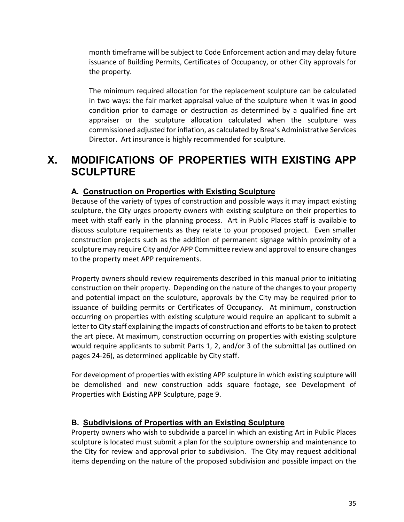month timeframe will be subject to Code Enforcement action and may delay future issuance of Building Permits, Certificates of Occupancy, or other City approvals for the property.

The minimum required allocation for the replacement sculpture can be calculated in two ways: the fair market appraisal value of the sculpture when it was in good condition prior to damage or destruction as determined by a qualified fine art appraiser or the sculpture allocation calculated when the sculpture was commissioned adjusted for inflation, as calculated by Brea's Administrative Services Director. Art insurance is highly recommended for sculpture.

# **X. MODIFICATIONS OF PROPERTIES WITH EXISTING APP SCULPTURE**

## **A. Construction on Properties with Existing Sculpture**

Because of the variety of types of construction and possible ways it may impact existing sculpture, the City urges property owners with existing sculpture on their properties to meet with staff early in the planning process. Art in Public Places staff is available to discuss sculpture requirements as they relate to your proposed project. Even smaller construction projects such as the addition of permanent signage within proximity of a sculpture may require City and/or APP Committee review and approval to ensure changes to the property meet APP requirements.

Property owners should review requirements described in this manual prior to initiating construction on their property. Depending on the nature of the changes to your property and potential impact on the sculpture, approvals by the City may be required prior to issuance of building permits or Certificates of Occupancy. At minimum, construction occurring on properties with existing sculpture would require an applicant to submit a letter to City staff explaining the impacts of construction and efforts to be taken to protect the art piece. At maximum, construction occurring on properties with existing sculpture would require applicants to submit Parts 1, 2, and/or 3 of the submittal (as outlined on pages 24-26), as determined applicable by City staff.

For development of properties with existing APP sculpture in which existing sculpture will be demolished and new construction adds square footage, see Development of Properties with Existing APP Sculpture, page 9.

#### **B. Subdivisions of Properties with an Existing Sculpture**

Property owners who wish to subdivide a parcel in which an existing Art in Public Places sculpture is located must submit a plan for the sculpture ownership and maintenance to the City for review and approval prior to subdivision. The City may request additional items depending on the nature of the proposed subdivision and possible impact on the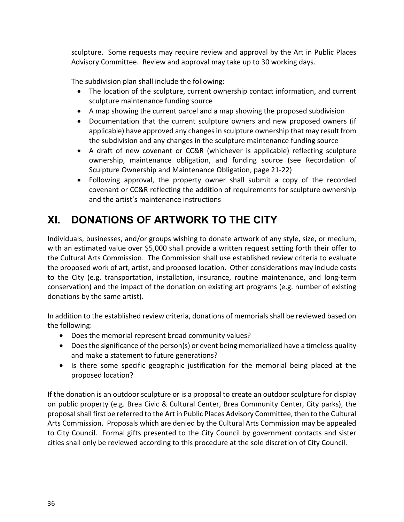sculpture. Some requests may require review and approval by the Art in Public Places Advisory Committee. Review and approval may take up to 30 working days.

The subdivision plan shall include the following:

- The location of the sculpture, current ownership contact information, and current sculpture maintenance funding source
- A map showing the current parcel and a map showing the proposed subdivision
- Documentation that the current sculpture owners and new proposed owners (if applicable) have approved any changes in sculpture ownership that may result from the subdivision and any changes in the sculpture maintenance funding source
- A draft of new covenant or CC&R (whichever is applicable) reflecting sculpture ownership, maintenance obligation, and funding source (see Recordation of Sculpture Ownership and Maintenance Obligation, page 21-22)
- Following approval, the property owner shall submit a copy of the recorded covenant or CC&R reflecting the addition of requirements for sculpture ownership and the artist's maintenance instructions

# **XI. DONATIONS OF ARTWORK TO THE CITY**

Individuals, businesses, and/or groups wishing to donate artwork of any style, size, or medium, with an estimated value over \$5,000 shall provide a written request setting forth their offer to the Cultural Arts Commission. The Commission shall use established review criteria to evaluate the proposed work of art, artist, and proposed location. Other considerations may include costs to the City (e.g. transportation, installation, insurance, routine maintenance, and long-term conservation) and the impact of the donation on existing art programs (e.g. number of existing donations by the same artist).

In addition to the established review criteria, donations of memorials shall be reviewed based on the following:

- Does the memorial represent broad community values?
- Does the significance of the person(s) or event being memorialized have a timeless quality and make a statement to future generations?
- Is there some specific geographic justification for the memorial being placed at the proposed location?

If the donation is an outdoor sculpture or is a proposal to create an outdoor sculpture for display on public property (e.g. Brea Civic & Cultural Center, Brea Community Center, City parks), the proposal shall first be referred to the Art in Public Places Advisory Committee, then to the Cultural Arts Commission. Proposals which are denied by the Cultural Arts Commission may be appealed to City Council. Formal gifts presented to the City Council by government contacts and sister cities shall only be reviewed according to this procedure at the sole discretion of City Council.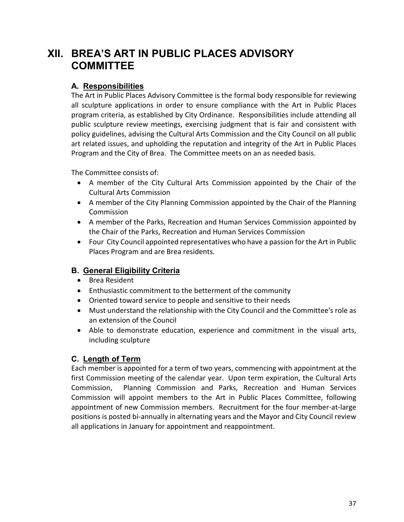# **XII. BREA'S ART IN PUBLIC PLACES ADVISORY COMMITTEE**

#### **A. Responsibilities**

The Art in Public Places Advisory Committee is the formal body responsible for reviewing all sculpture applications in order to ensure compliance with the Art in Public Places program criteria, as established by City Ordinance. Responsibilities include attending all public sculpture review meetings, exercising judgment that is fair and consistent with policy guidelines, advising the Cultural Arts Commission and the City Council on all public art related issues, and upholding the reputation and integrity of the Art in Public Places Program and the City of Brea. The Committee meets on an as needed basis.

The Committee consists of:

- A member of the City Cultural Arts Commission appointed by the Chair of the Cultural Arts Commission
- A member of the City Planning Commission appointed by the Chair of the Planning Commission
- A member of the Parks, Recreation and Human Services Commission appointed by the Chair of the Parks, Recreation and Human Services Commission
- Four City Council appointed representatives who have a passion for the Art in Public Places Program and are Brea residents.

# **B. General Eligibility Criteria**

- Brea Resident
- Enthusiastic commitment to the betterment of the community
- Oriented toward service to people and sensitive to their needs
- Must understand the relationship with the City Council and the Committee's role as an extension of the Council
- Able to demonstrate education, experience and commitment in the visual arts, including sculpture

#### **C. Length of Term**

Each member is appointed for a term of two years, commencing with appointment at the first Commission meeting of the calendar year. Upon term expiration, the Cultural Arts Commission, Planning Commission and Parks, Recreation and Human Services Commission will appoint members to the Art in Public Places Committee, following appointment of new Commission members. Recruitment for the four member-at-large positions is posted bi-annually in alternating years and the Mayor and City Council review all applications in January for appointment and reappointment.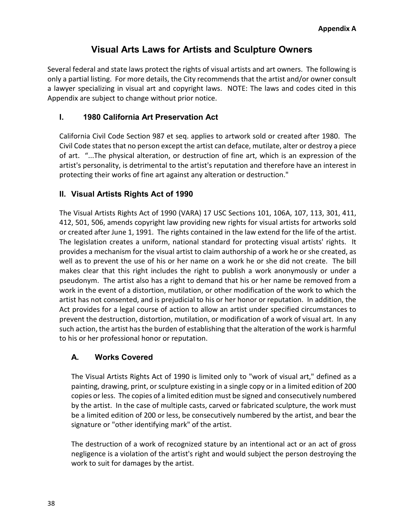# **Visual Arts Laws for Artists and Sculpture Owners**

Several federal and state laws protect the rights of visual artists and art owners. The following is only a partial listing. For more details, the City recommends that the artist and/or owner consult a lawyer specializing in visual art and copyright laws. NOTE: The laws and codes cited in this Appendix are subject to change without prior notice.

#### **I. 1980 California Art Preservation Act**

California Civil Code Section 987 et seq. applies to artwork sold or created after 1980. The Civil Code states that no person except the artist can deface, mutilate, alter or destroy a piece of art. "...The physical alteration, or destruction of fine art, which is an expression of the artist's personality, is detrimental to the artist's reputation and therefore have an interest in protecting their works of fine art against any alteration or destruction."

#### **II. Visual Artists Rights Act of 1990**

The Visual Artists Rights Act of 1990 (VARA) 17 USC Sections 101, 106A, 107, 113, 301, 411, 412, 501, 506, amends copyright law providing new rights for visual artists for artworks sold or created after June 1, 1991. The rights contained in the law extend for the life of the artist. The legislation creates a uniform, national standard for protecting visual artists' rights. It provides a mechanism for the visual artist to claim authorship of a work he or she created, as well as to prevent the use of his or her name on a work he or she did not create. The bill makes clear that this right includes the right to publish a work anonymously or under a pseudonym. The artist also has a right to demand that his or her name be removed from a work in the event of a distortion, mutilation, or other modification of the work to which the artist has not consented, and is prejudicial to his or her honor or reputation. In addition, the Act provides for a legal course of action to allow an artist under specified circumstances to prevent the destruction, distortion, mutilation, or modification of a work of visual art. In any such action, the artist has the burden of establishing that the alteration of the work is harmful to his or her professional honor or reputation.

#### **A. Works Covered**

The Visual Artists Rights Act of 1990 is limited only to "work of visual art," defined as a painting, drawing, print, or sculpture existing in a single copy or in a limited edition of 200 copies or less. The copies of a limited edition must be signed and consecutively numbered by the artist. In the case of multiple casts, carved or fabricated sculpture, the work must be a limited edition of 200 or less, be consecutively numbered by the artist, and bear the signature or "other identifying mark" of the artist.

The destruction of a work of recognized stature by an intentional act or an act of gross negligence is a violation of the artist's right and would subject the person destroying the work to suit for damages by the artist.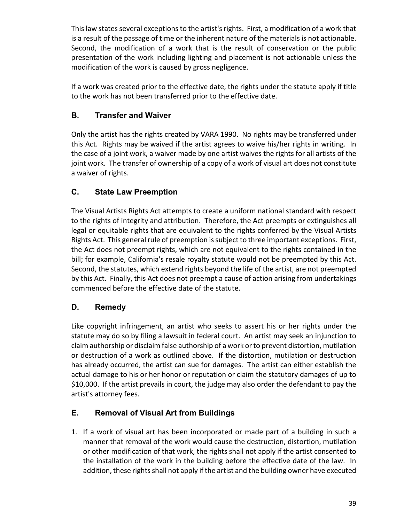This law states several exceptions to the artist's rights. First, a modification of a work that is a result of the passage of time or the inherent nature of the materials is not actionable. Second, the modification of a work that is the result of conservation or the public presentation of the work including lighting and placement is not actionable unless the modification of the work is caused by gross negligence.

If a work was created prior to the effective date, the rights under the statute apply if title to the work has not been transferred prior to the effective date.

# **B. Transfer and Waiver**

Only the artist has the rights created by VARA 1990. No rights may be transferred under this Act. Rights may be waived if the artist agrees to waive his/her rights in writing. In the case of a joint work, a waiver made by one artist waives the rights for all artists of the joint work. The transfer of ownership of a copy of a work of visual art does not constitute a waiver of rights.

# **C. State Law Preemption**

The Visual Artists Rights Act attempts to create a uniform national standard with respect to the rights of integrity and attribution. Therefore, the Act preempts or extinguishes all legal or equitable rights that are equivalent to the rights conferred by the Visual Artists Rights Act. This general rule of preemption is subject to three important exceptions. First, the Act does not preempt rights, which are not equivalent to the rights contained in the bill; for example, California's resale royalty statute would not be preempted by this Act. Second, the statutes, which extend rights beyond the life of the artist, are not preempted by this Act. Finally, this Act does not preempt a cause of action arising from undertakings commenced before the effective date of the statute.

# **D. Remedy**

Like copyright infringement, an artist who seeks to assert his or her rights under the statute may do so by filing a lawsuit in federal court. An artist may seek an injunction to claim authorship or disclaim false authorship of a work or to prevent distortion, mutilation or destruction of a work as outlined above. If the distortion, mutilation or destruction has already occurred, the artist can sue for damages. The artist can either establish the actual damage to his or her honor or reputation or claim the statutory damages of up to \$10,000. If the artist prevails in court, the judge may also order the defendant to pay the artist's attorney fees.

# **E. Removal of Visual Art from Buildings**

1. If a work of visual art has been incorporated or made part of a building in such a manner that removal of the work would cause the destruction, distortion, mutilation or other modification of that work, the rights shall not apply if the artist consented to the installation of the work in the building before the effective date of the law. In addition, these rights shall not apply if the artist and the building owner have executed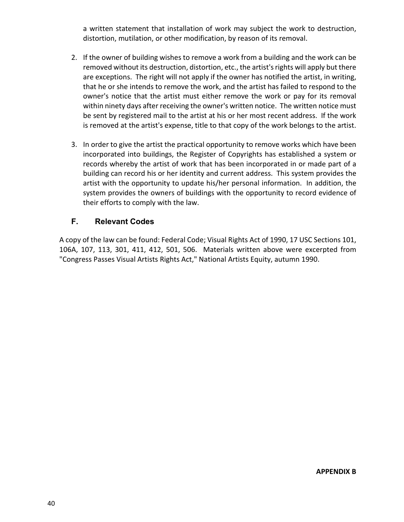a written statement that installation of work may subject the work to destruction, distortion, mutilation, or other modification, by reason of its removal.

- 2. If the owner of building wishes to remove a work from a building and the work can be removed without its destruction, distortion, etc., the artist's rights will apply but there are exceptions. The right will not apply if the owner has notified the artist, in writing, that he or she intends to remove the work, and the artist has failed to respond to the owner's notice that the artist must either remove the work or pay for its removal within ninety days after receiving the owner's written notice. The written notice must be sent by registered mail to the artist at his or her most recent address. If the work is removed at the artist's expense, title to that copy of the work belongs to the artist.
- 3. In order to give the artist the practical opportunity to remove works which have been incorporated into buildings, the Register of Copyrights has established a system or records whereby the artist of work that has been incorporated in or made part of a building can record his or her identity and current address. This system provides the artist with the opportunity to update his/her personal information. In addition, the system provides the owners of buildings with the opportunity to record evidence of their efforts to comply with the law.

#### **F. Relevant Codes**

A copy of the law can be found: Federal Code; Visual Rights Act of 1990, 17 USC Sections 101, 106A, 107, 113, 301, 411, 412, 501, 506. Materials written above were excerpted from "Congress Passes Visual Artists Rights Act," National Artists Equity, autumn 1990.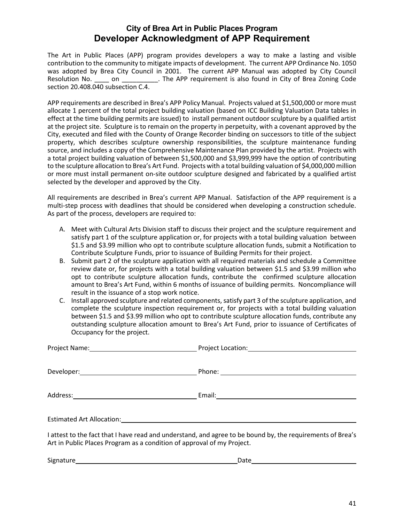#### **City of Brea Art in Public Places Program Developer Acknowledgment of APP Requirement**

The Art in Public Places (APP) program provides developers a way to make a lasting and visible contribution to the community to mitigate impacts of development. The current APP Ordinance No. 1050 was adopted by Brea City Council in 2001. The current APP Manual was adopted by City Council Resolution No. \_\_\_\_ on \_\_\_\_\_\_\_\_\_\_. The APP requirement is also found in City of Brea Zoning Code section 20.408.040 subsection C.4.

APP requirements are described in Brea's APP Policy Manual. Projects valued at \$1,500,000 or more must allocate 1 percent of the total project building valuation (based on ICC Building Valuation Data tables in effect at the time building permits are issued) to install permanent outdoor sculpture by a qualified artist at the project site. Sculpture is to remain on the property in perpetuity, with a covenant approved by the City, executed and filed with the County of Orange Recorder binding on successors to title of the subject property, which describes sculpture ownership responsibilities, the sculpture maintenance funding source, and includes a copy of the Comprehensive Maintenance Plan provided by the artist. Projects with a total project building valuation of between \$1,500,000 and \$3,999,999 have the option of contributing to the sculpture allocation to Brea's Art Fund. Projects with a total building valuation of \$4,000,000 million or more must install permanent on-site outdoor sculpture designed and fabricated by a qualified artist selected by the developer and approved by the City.

All requirements are described in Brea's current APP Manual. Satisfaction of the APP requirement is a multi-step process with deadlines that should be considered when developing a construction schedule. As part of the process, developers are required to:

- A. Meet with Cultural Arts Division staff to discuss their project and the sculpture requirement and satisfy part 1 of the sculpture application or, for projects with a total building valuation between \$1.5 and \$3.99 million who opt to contribute sculpture allocation funds, submit a Notification to Contribute Sculpture Funds, prior to issuance of Building Permits for their project.
- B. Submit part 2 of the sculpture application with all required materials and schedule a Committee review date or, for projects with a total building valuation between \$1.5 and \$3.99 million who opt to contribute sculpture allocation funds, contribute the confirmed sculpture allocation amount to Brea's Art Fund, within 6 months of issuance of building permits. Noncompliance will result in the issuance of a stop work notice.
- C. Install approved sculpture and related components, satisfy part 3 of the sculpture application, and complete the sculpture inspection requirement or, for projects with a total building valuation between \$1.5 and \$3.99 million who opt to contribute sculpture allocation funds, contribute any outstanding sculpture allocation amount to Brea's Art Fund, prior to issuance of Certificates of Occupancy for the project.

| Art in Public Places Program as a condition of approval of my Project. | I attest to the fact that I have read and understand, and agree to be bound by, the requirements of Brea's |
|------------------------------------------------------------------------|------------------------------------------------------------------------------------------------------------|
|                                                                        | Date                                                                                                       |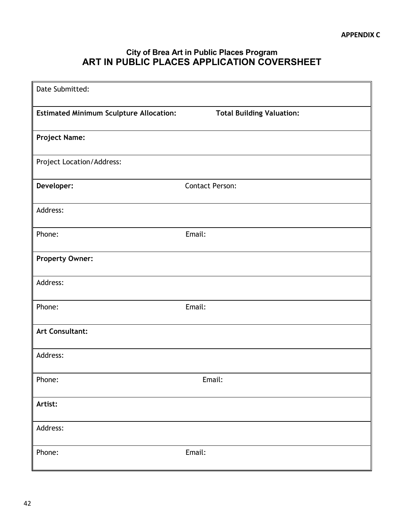# **City of Brea Art in Public Places Program ART IN PUBLIC PLACES APPLICATION COVERSHEET**

| Date Submitted:                                |                                  |
|------------------------------------------------|----------------------------------|
| <b>Estimated Minimum Sculpture Allocation:</b> | <b>Total Building Valuation:</b> |
| <b>Project Name:</b>                           |                                  |
| Project Location/Address:                      |                                  |
| Developer:                                     | <b>Contact Person:</b>           |
| Address:                                       |                                  |
| Phone:                                         | Email:                           |
| <b>Property Owner:</b>                         |                                  |
| Address:                                       |                                  |
| Phone:                                         | Email:                           |
| <b>Art Consultant:</b>                         |                                  |
| Address:                                       |                                  |
| Phone:                                         | Email:                           |
| Artist:                                        |                                  |
| Address:                                       |                                  |
| Phone:                                         | Email:                           |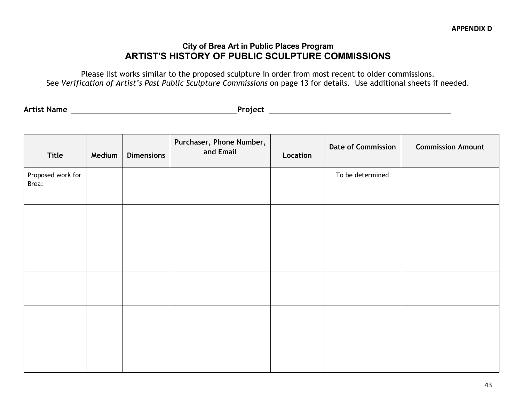#### **City of Brea Art in Public Places Program ARTIST'S HISTORY OF PUBLIC SCULPTURE COMMISSIONS**

Please list works similar to the proposed sculpture in order from most recent to older commissions. See *Verification of Artist's Past Public Sculpture Commissions* on page 13 for details. Use additional sheets if needed.

**Artist Name Project**

| Title                      | Medium | <b>Dimensions</b> | Purchaser, Phone Number,<br>and Email | Location | <b>Date of Commission</b> | <b>Commission Amount</b> |
|----------------------------|--------|-------------------|---------------------------------------|----------|---------------------------|--------------------------|
| Proposed work for<br>Brea: |        |                   |                                       |          | To be determined          |                          |
|                            |        |                   |                                       |          |                           |                          |
|                            |        |                   |                                       |          |                           |                          |
|                            |        |                   |                                       |          |                           |                          |
|                            |        |                   |                                       |          |                           |                          |
|                            |        |                   |                                       |          |                           |                          |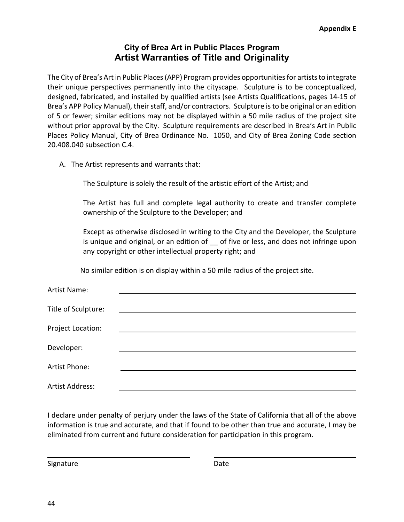## **City of Brea Art in Public Places Program Artist Warranties of Title and Originality**

The City of Brea's Art in Public Places (APP) Program provides opportunities for artists to integrate their unique perspectives permanently into the cityscape. Sculpture is to be conceptualized, designed, fabricated, and installed by qualified artists (see Artists Qualifications, pages 14-15 of Brea's APP Policy Manual), their staff, and/or contractors. Sculpture is to be original or an edition of 5 or fewer; similar editions may not be displayed within a 50 mile radius of the project site without prior approval by the City. Sculpture requirements are described in Brea's Art in Public Places Policy Manual, City of Brea Ordinance No. 1050, and City of Brea Zoning Code section 20.408.040 subsection C.4.

A. The Artist represents and warrants that:

The Sculpture is solely the result of the artistic effort of the Artist; and

The Artist has full and complete legal authority to create and transfer complete ownership of the Sculpture to the Developer; and

Except as otherwise disclosed in writing to the City and the Developer, the Sculpture is unique and original, or an edition of of five or less, and does not infringe upon any copyright or other intellectual property right; and

No similar edition is on display within a 50 mile radius of the project site.

| Artist Name:        |                                                           |  |
|---------------------|-----------------------------------------------------------|--|
|                     |                                                           |  |
| Title of Sculpture: | <u> 1989 - John Stein, Amerikaansk politiker (* 1958)</u> |  |
|                     |                                                           |  |
| Project Location:   |                                                           |  |
| Developer:          |                                                           |  |
|                     |                                                           |  |
| Artist Phone:       |                                                           |  |
|                     |                                                           |  |
| Artist Address:     |                                                           |  |

I declare under penalty of perjury under the laws of the State of California that all of the above information is true and accurate, and that if found to be other than true and accurate, I may be eliminated from current and future consideration for participation in this program.

Signature Date Date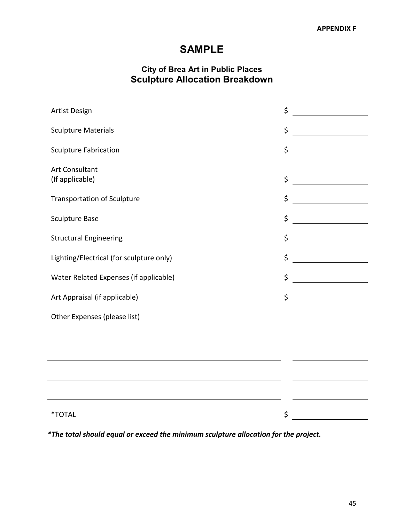# **SAMPLE**

# **City of Brea Art in Public Places Sculpture Allocation Breakdown**

| Artist Design                                                                                                          | \$ |
|------------------------------------------------------------------------------------------------------------------------|----|
| <b>Sculpture Materials</b>                                                                                             | \$ |
| <b>Sculpture Fabrication</b>                                                                                           | \$ |
| Art Consultant<br>(If applicable)                                                                                      | \$ |
| <b>Transportation of Sculpture</b>                                                                                     | \$ |
| <b>Sculpture Base</b>                                                                                                  | \$ |
| <b>Structural Engineering</b>                                                                                          | \$ |
| Lighting/Electrical (for sculpture only)                                                                               | \$ |
| Water Related Expenses (if applicable)                                                                                 | \$ |
| Art Appraisal (if applicable)                                                                                          | \$ |
| Other Expenses (please list)                                                                                           |    |
|                                                                                                                        |    |
|                                                                                                                        |    |
| <u> 1989 - Johann Stoff, deutscher Stoffen und der Stoffen und der Stoffen und der Stoffen und der Stoffen und der</u> |    |
|                                                                                                                        |    |
| *TOTAL                                                                                                                 | \$ |
|                                                                                                                        |    |

*\*The total should equal or exceed the minimum sculpture allocation for the project.*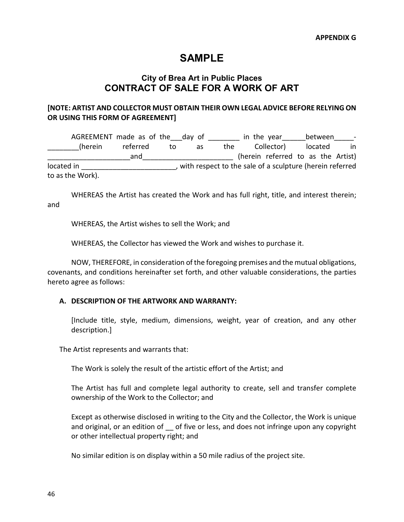# **SAMPLE**

# **City of Brea Art in Public Places CONTRACT OF SALE FOR A WORK OF ART**

#### **[NOTE: ARTIST AND COLLECTOR MUST OBTAIN THEIR OWN LEGAL ADVICE BEFORE RELYING ON OR USING THIS FORM OF AGREEMENT]**

AGREEMENT made as of the\_\_\_day of \_\_\_\_\_\_\_\_\_ in the year\_\_\_\_\_\_\_between\_\_\_\_ (herein referred to as the Collector) located in and and the contract of the contract of the Artist) and the Artist of the Artist of the Artist of the Artist of the Artist of the Artist of the Artist of the Artist of the Artist of the Artist of the Artist of the Artist o located in  $\blacksquare$ , with respect to the sale of a sculpture (herein referred to as the Work).

WHEREAS the Artist has created the Work and has full right, title, and interest therein; and

WHEREAS, the Artist wishes to sell the Work; and

WHEREAS, the Collector has viewed the Work and wishes to purchase it.

NOW, THEREFORE, in consideration of the foregoing premises and the mutual obligations, covenants, and conditions hereinafter set forth, and other valuable considerations, the parties hereto agree as follows:

#### **A. DESCRIPTION OF THE ARTWORK AND WARRANTY:**

[Include title, style, medium, dimensions, weight, year of creation, and any other description.]

The Artist represents and warrants that:

The Work is solely the result of the artistic effort of the Artist; and

The Artist has full and complete legal authority to create, sell and transfer complete ownership of the Work to the Collector; and

Except as otherwise disclosed in writing to the City and the Collector, the Work is unique and original, or an edition of of five or less, and does not infringe upon any copyright or other intellectual property right; and

No similar edition is on display within a 50 mile radius of the project site.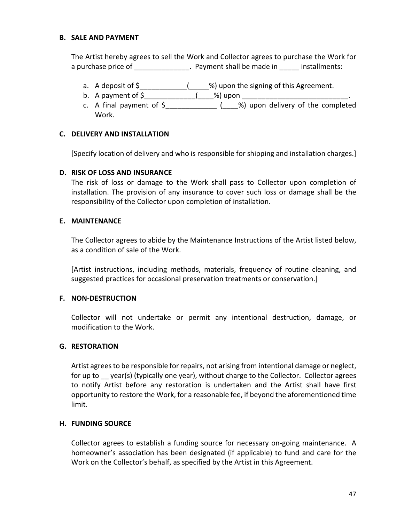#### **B. SALE AND PAYMENT**

The Artist hereby agrees to sell the Work and Collector agrees to purchase the Work for a purchase price of \_\_\_\_\_\_\_\_\_\_\_\_\_\_. Payment shall be made in \_\_\_\_\_ installments:

- a. A deposit of \$\_\_\_\_\_\_\_\_\_\_\_\_\_(\_\_\_\_\_%) upon the signing of this Agreement.
- b. A payment of \$\_\_\_\_\_\_\_\_\_\_\_\_\_\_\_(\_\_\_\_%) upon \_\_\_\_\_\_\_\_\_\_\_\_\_\_\_\_\_\_\_\_\_\_\_\_\_\_\_\_\_\_\_\_\_\_\_
- c. A final payment of \$\_\_\_\_\_\_\_\_\_\_\_\_\_ (\_\_\_\_%) upon delivery of the completed Work.

#### **C. DELIVERY AND INSTALLATION**

[Specify location of delivery and who is responsible for shipping and installation charges.]

#### **D. RISK OF LOSS AND INSURANCE**

The risk of loss or damage to the Work shall pass to Collector upon completion of installation. The provision of any insurance to cover such loss or damage shall be the responsibility of the Collector upon completion of installation.

#### **E. MAINTENANCE**

The Collector agrees to abide by the Maintenance Instructions of the Artist listed below, as a condition of sale of the Work.

[Artist instructions, including methods, materials, frequency of routine cleaning, and suggested practices for occasional preservation treatments or conservation.]

#### **F. NON-DESTRUCTION**

Collector will not undertake or permit any intentional destruction, damage, or modification to the Work.

#### **G. RESTORATION**

Artist agrees to be responsible for repairs, not arising from intentional damage or neglect, for up to year(s) (typically one year), without charge to the Collector. Collector agrees to notify Artist before any restoration is undertaken and the Artist shall have first opportunity to restore the Work, for a reasonable fee, if beyond the aforementioned time limit.

#### **H. FUNDING SOURCE**

Collector agrees to establish a funding source for necessary on-going maintenance. A homeowner's association has been designated (if applicable) to fund and care for the Work on the Collector's behalf, as specified by the Artist in this Agreement.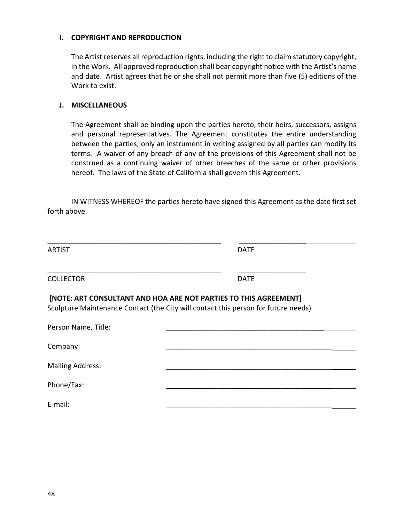#### **I. COPYRIGHT AND REPRODUCTION**

The Artist reserves all reproduction rights, including the right to claim statutory copyright, in the Work. All approved reproduction shall bear copyright notice with the Artist's name and date. Artist agrees that he or she shall not permit more than five (5) editions of the Work to exist.

#### **J. MISCELLANEOUS**

The Agreement shall be binding upon the parties hereto, their heirs, successors, assigns and personal representatives. The Agreement constitutes the entire understanding between the parties; only an instrument in writing assigned by all parties can modify its terms. A waiver of any breach of any of the provisions of this Agreement shall not be construed as a continuing waiver of other breeches of the same or other provisions hereof. The laws of the State of California shall govern this Agreement.

IN WITNESS WHEREOF the parties hereto have signed this Agreement as the date first set forth above.

| <b>ARTIST</b>                                                    | <b>DATE</b>                                                                        |
|------------------------------------------------------------------|------------------------------------------------------------------------------------|
| <b>COLLECTOR</b>                                                 | <b>DATE</b>                                                                        |
| [NOTE: ART CONSULTANT AND HOA ARE NOT PARTIES TO THIS AGREEMENT] | Sculpture Maintenance Contact (the City will contact this person for future needs) |
| Person Name, Title:                                              |                                                                                    |
| Company:                                                         |                                                                                    |
| <b>Mailing Address:</b>                                          |                                                                                    |
| Phone/Fax:                                                       |                                                                                    |
| E-mail:                                                          |                                                                                    |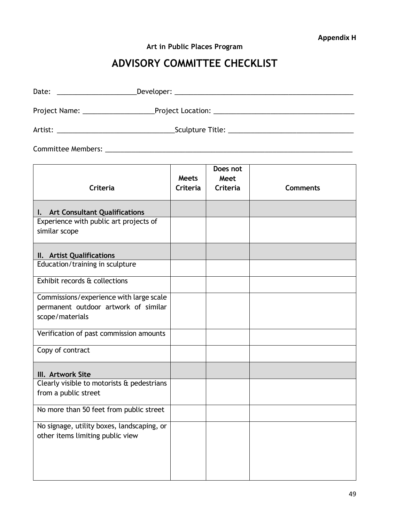**Art in Public Places Program** 

# **ADVISORY COMMITTEE CHECKLIST**

| Date: ____________________________Developer: ___________________________________                   |                          |                              |                 |
|----------------------------------------------------------------------------------------------------|--------------------------|------------------------------|-----------------|
|                                                                                                    |                          |                              |                 |
|                                                                                                    |                          |                              |                 |
|                                                                                                    |                          |                              |                 |
| Criteria                                                                                           | <b>Meets</b><br>Criteria | Does not<br>Meet<br>Criteria | <b>Comments</b> |
| I. Art Consultant Qualifications<br>Experience with public art projects of<br>similar scope        |                          |                              |                 |
| II. Artist Qualifications<br>Education/training in sculpture                                       |                          |                              |                 |
| Exhibit records & collections                                                                      |                          |                              |                 |
| Commissions/experience with large scale<br>permanent outdoor artwork of similar<br>scope/materials |                          |                              |                 |
| Verification of past commission amounts                                                            |                          |                              |                 |
| Copy of contract                                                                                   |                          |                              |                 |
| III. Artwork Site<br>Clearly visible to motorists $\alpha$ pedestrians  <br>from a public street   |                          |                              |                 |
| No more than 50 feet from public street                                                            |                          |                              |                 |
| No signage, utility boxes, landscaping, or<br>other items limiting public view                     |                          |                              |                 |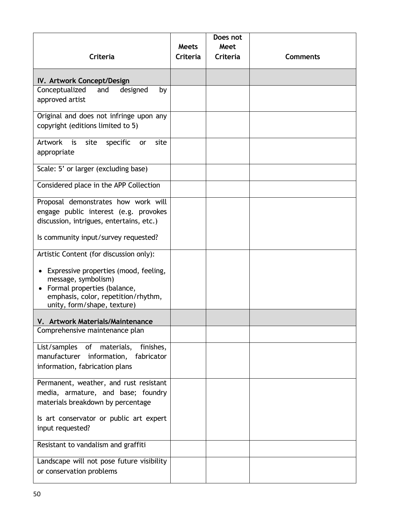|                                                                                                                                                                                |                 | Does not |                 |
|--------------------------------------------------------------------------------------------------------------------------------------------------------------------------------|-----------------|----------|-----------------|
|                                                                                                                                                                                | <b>Meets</b>    | Meet     |                 |
| Criteria                                                                                                                                                                       | <b>Criteria</b> | Criteria | <b>Comments</b> |
| IV. Artwork Concept/Design                                                                                                                                                     |                 |          |                 |
| Conceptualized<br>designed<br>and<br>by<br>approved artist                                                                                                                     |                 |          |                 |
| Original and does not infringe upon any<br>copyright (editions limited to 5)                                                                                                   |                 |          |                 |
| <b>Artwork</b><br>is<br>site<br>specific<br>site<br>or<br>appropriate                                                                                                          |                 |          |                 |
| Scale: 5' or larger (excluding base)                                                                                                                                           |                 |          |                 |
| Considered place in the APP Collection                                                                                                                                         |                 |          |                 |
| Proposal demonstrates how work will<br>engage public interest (e.g. provokes<br>discussion, intrigues, entertains, etc.)<br>Is community input/survey requested?               |                 |          |                 |
| Artistic Content (for discussion only):                                                                                                                                        |                 |          |                 |
| Expressive properties (mood, feeling,<br>$\bullet$<br>message, symbolism)<br>Formal properties (balance,<br>emphasis, color, repetition/rhythm,<br>unity, form/shape, texture) |                 |          |                 |
| V. Artwork Materials/Maintenance                                                                                                                                               |                 |          |                 |
| Comprehensive maintenance plan                                                                                                                                                 |                 |          |                 |
| List/samples<br>of<br>materials,<br>finishes,<br>manufacturer information,<br>fabricator<br>information, fabrication plans                                                     |                 |          |                 |
| Permanent, weather, and rust resistant<br>media, armature, and base; foundry<br>materials breakdown by percentage                                                              |                 |          |                 |
| Is art conservator or public art expert<br>input requested?                                                                                                                    |                 |          |                 |
| Resistant to vandalism and graffiti                                                                                                                                            |                 |          |                 |
| Landscape will not pose future visibility<br>or conservation problems                                                                                                          |                 |          |                 |